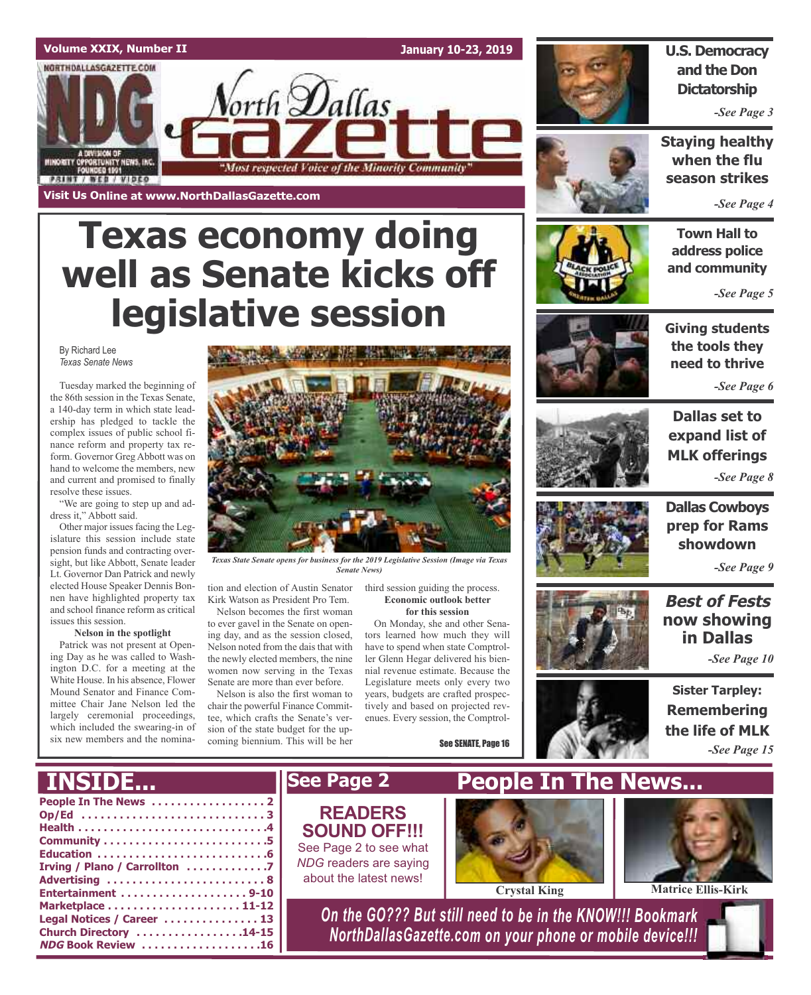### **Volume XXIX, Number II January 10-23, 2019** NORTHDALLASGAZETTE.COM orth **D**allas MINORITY CPPORTUNITY NEWS, INC.<br>FOUNDED 1991 "Most respected Voice of the Minority Community" **PRINT / WEB / VIDEO Visit Us Online at www.NorthDallasGazette.com**

# **Texas economy doing well as Senate kicks off legislative session**

By Richard Lee *Texas Senate News*

Tuesday marked the beginning of the 86th session in the Texas Senate, a 140-day term in which state leadership has pledged to tackle the complex issues of public school finance reform and property tax reform. Governor Greg Abbott was on hand to welcome the members, new and current and promised to finally resolve these issues.

"We are going to step up and address it," Abbott said.

Other major issues facing the Legislature this session include state pension funds and contracting oversight, but like Abbott, Senate leader Lt. Governor Dan Patrick and newly elected House Speaker Dennis Bonnen have highlighted property tax and school finance reform as critical issues this session.

**Nelson in the spotlight**

Patrick was not present at Opening Day as he was called to Washington D.C. for a meeting at the White House. In his absence, Flower Mound Senator and Finance Committee Chair Jane Nelson led the largely ceremonial proceedings, which included the swearing-in of six new members and the nomina-



*Texas State Senate opens for business for the 2019 Legislative Session (Image via Texas Senate News)*

tion and election of Austin Senator Kirk Watson as President Pro Tem.

Nelson becomes the first woman to ever gavel in the Senate on opening day, and as the session closed, Nelson noted from the dais that with the newly elected members, the nine women now serving in the Texas Senate are more than ever before.

Nelson is also the first woman to chair the powerful Finance Committee, which crafts the Senate's version of the state budget for the upcoming biennium. This will be her

third session guiding the process. **Economic outlook better for this session**

On Monday, she and other Senators learned how much they will have to spend when state Comptroller Glenn Hegar delivered his biennial revenue estimate. Because the Legislature meets only every two years, budgets are crafted prospectively and based on projected revenues. Every session, the Comptrol-

See SENATE, Page 16



### **U.S. Democracy and the Don Dictatorship**

*-See Page 3*

**Staying healthy when the flu season strikes**

*-See Page 4*

**Town Hall to address police and community**

*-See Page 5*



**Giving students the tools they need to thrive**

*-See Page 6*



**Dallas set to expand list of MLK offerings** *-See Page 8*

**Dallas Cowboys prep for Rams showdown**

**Best of Fests now showing in Dallas**

*-See Page 9*

*-See Page 10*



**Sister Tarpley: Remembering the life of MLK** *-See Page 15*



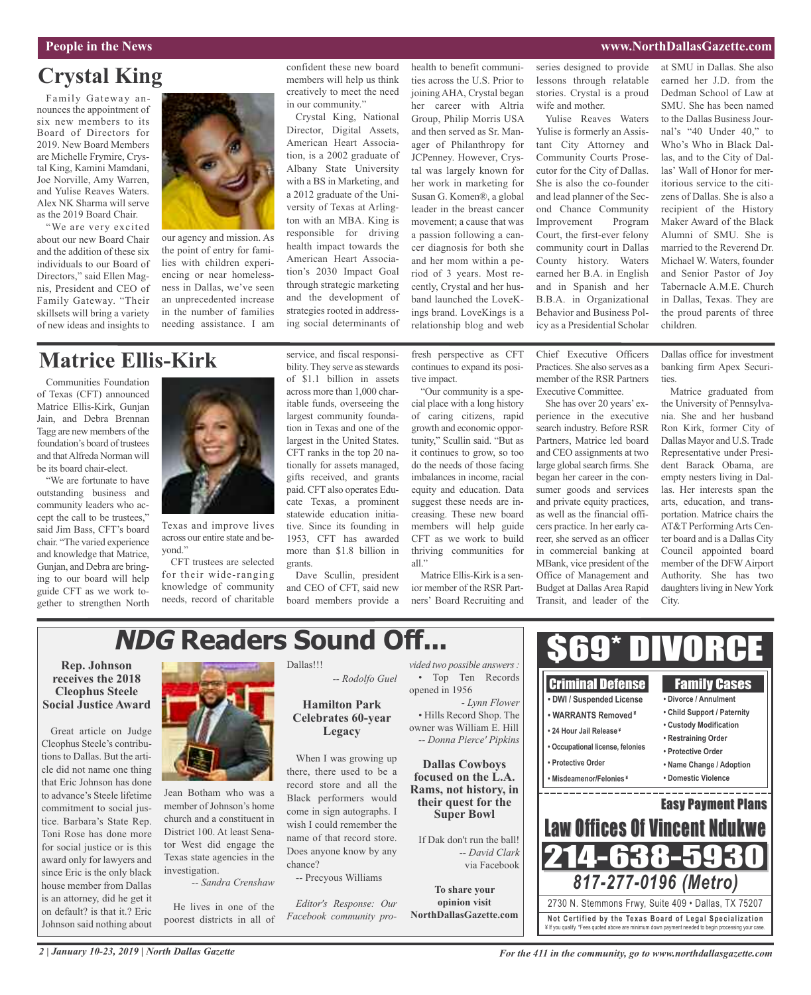#### **People in the News www.NorthDallasGazette.com**

## **Crystal King**

Family Gateway announces the appointment of six new members to its Board of Directors for 2019. New Board Members are Michelle Frymire, Crystal King, Kamini Mamdani, Joe Norville, Amy Warren, and Yulise Reaves Waters. Alex NK Sharma will serve as the 2019 Board Chair.

"We are very excited about our new Board Chair and the addition of these six individuals to our Board of Directors," said Ellen Magnis, President and CEO of Family Gateway. "Their skillsets will bring a variety of new ideas and insights to



our agency and mission. As the point of entry for families with children experiencing or near homelessness in Dallas, we've seen an unprecedented increase in the number of families needing assistance. I am

#### confident these new board members will help us think creatively to meet the need in our community."

Crystal King, National Director, Digital Assets, American Heart Association, is a 2002 graduate of Albany State University with a BS in Marketing, and a 2012 graduate of the University of Texas at Arlington with an MBA. King is responsible for driving health impact towards the American Heart Association's 2030 Impact Goal through strategic marketing and the development of strategies rooted in addressing social determinants of

ties across the U.S. Prior to joining AHA, Crystal began her career with Altria Group, Philip Morris USA and then served as Sr. Manager of Philanthropy for JCPenney. However, Crystal was largely known for her work in marketing for Susan G. Komen®, a global leader in the breast cancer movement; a cause that was a passion following a cancer diagnosis for both she and her mom within a period of 3 years. Most recently, Crystal and her husband launched the LoveKings brand. LoveKings is a relationship blog and web

health to benefit communi-

series designed to provide lessons through relatable stories. Crystal is a proud wife and mother.

Yulise Reaves Waters Yulise is formerly an Assistant City Attorney and Community Courts Prosecutor for the City of Dallas. She is also the co-founder and lead planner of the Second Chance Community Improvement Program Court, the first-ever felony community court in Dallas County history. Waters earned her B.A. in English and in Spanish and her B.B.A. in Organizational Behavior and Business Policy as a Presidential Scholar

at SMU in Dallas. She also earned her J.D. from the Dedman School of Law at SMU. She has been named to the Dallas Business Journal's "40 Under 40," to Who's Who in Black Dallas, and to the City of Dallas' Wall of Honor for meritorious service to the citizens of Dallas. She is also a recipient of the History Maker Award of the Black Alumni of SMU. She is married to the Reverend Dr. Michael W. Waters, founder and Senior Pastor of Joy Tabernacle A.M.E. Church in Dallas, Texas. They are the proud parents of three children.

## **Matrice Ellis-Kirk**

Communities Foundation of Texas (CFT) announced Matrice Ellis-Kirk, Gunjan Jain, and Debra Brennan Tagg are new members of the foundation's board of trustees and that Alfreda Norman will be its board chair-elect.

"We are fortunate to have outstanding business and community leaders who accept the call to be trustees," said Jim Bass, CFT's board chair. "The varied experience and knowledge that Matrice, Gunjan, and Debra are bringing to our board will help guide CFT as we work together to strengthen North



Texas and improve lives across our entire state and beyond."

CFT trustees are selected for their wide-ranging knowledge of community needs, record of charitable service, and fiscal responsibility. They serve as stewards of \$1.1 billion in assets across more than 1,000 charitable funds, overseeing the largest community foundation in Texas and one of the largest in the United States. CFT ranks in the top 20 nationally for assets managed, gifts received, and grants paid. CFT also operates Educate Texas, a prominent statewide education initiative. Since its founding in 1953, CFT has awarded more than \$1.8 billion in grants.

Dave Scullin, president and CEO of CFT, said new board members provide a fresh perspective as CFT continues to expand its positive impact.

"Our community is a special place with a long history of caring citizens, rapid growth and economic opportunity," Scullin said. "But as it continues to grow, so too do the needs of those facing imbalances in income, racial equity and education. Data suggest these needs are increasing. These new board members will help guide CFT as we work to build thriving communities for all."

Matrice Ellis-Kirk is a senior member of the RSR Partners' Board Recruiting and Chief Executive Officers Practices. She also serves as a member of the RSR Partners Executive Committee.

She has over 20 years' experience in the executive search industry. Before RSR Partners, Matrice led board and CEO assignments at two large global search firms. She began her career in the consumer goods and services and private equity practices, as well as the financial officers practice. In her early career, she served as an officer in commercial banking at MBank, vice president of the Office of Management and Budget at Dallas Area Rapid Transit, and leader of the

Dallas office for investment banking firm Apex Securities.

Matrice graduated from the University of Pennsylvania. She and her husband Ron Kirk, former City of Dallas Mayor and U.S. Trade Representative under President Barack Obama, are empty nesters living in Dallas. Her interests span the arts, education, and transportation. Matrice chairs the AT&T PerformingArts Center board and is a Dallas City Council appointed board member of the DFWAirport Authority. She has two daughters living in New York City.

#### **NDG Readers Sound Off...**\$69\* DIVORCE **Rep. Johnson** Dallas!!! *vided two possible answers:* • Top Ten Records **receives the 2018** *-- Rodolfo Guel* Criminal Defense Family Cases opened in 1956 **Cleophus Steele • DWI / Suspended License • Divorce / Annulment Social Justice Award Hamilton Park** *- Lynn Flower* **• Child Support / Paternity** • Hills Record Shop. The **• WARRANTS Removed ¥ Celebrates 60-year • Custody Modification** owner was William E. Hill Great article on Judge **• 24 Hour Jail Release ¥ Legacy** *-- Donna Pierce' Pipkins* **• Restraining Order** Cleophus Steele's contribu-**• Occupational license, felonies • Protective Order** tions to Dallas. But the arti-When I was growing up **• Protective Order Dallas Cowboys • Name Change / Adoption** cle did not name one thing there, there used to be a **focused on the L.A. • Misdeamenor/Felonies ¥ • Domestic Violence** that Eric Johnson has done record store and all the **Rams, not history, in** Jean Botham who was a to advance's Steele lifetime Black performers would **their quest for the** Easy Payment Plans member of Johnson's home commitment to social juscome in sign autographs. I **Super Bowl** church and a constituent in tice. Barbara's State Rep. Law Offices Of Vincent Ndukwe wish I could remember the District 100. At least Sena-Toni Rose has done more name of that record store. If Dak don't run the ball! tor West did engage the for social justice or is this Does anyone know by any *-- David Clark* 214-638-5 Texas state agencies in the award only for lawyers and chance? via Facebook investigation. since Eric is the only black -- Precyous Williams *817-277-0196 (Metro) -- Sandra Crenshaw* house member from Dallas **To share your** is an attorney, did he get it **opinion visit** 2730 N. Stemmons Frwy, Suite 409 • Dallas, TX 75207 *Editor's Response: Our* He lives in one of the on default? is that it.? Eric **NorthDallasGazette.com** *Facebook community pro*poorest districts in all of **Not Ce rtified by the Te x a s Boa rd of Lega l Spe c ia l i za tion** Johnson said nothing about ¥ If you qualify. \*Fees quoted above are minimum down payment needed to begin processing your case.

### *2 | January 10-23, 2019 | North Dallas Gazette*

*For the 411 in the community, go to www.northdallasgazette.com*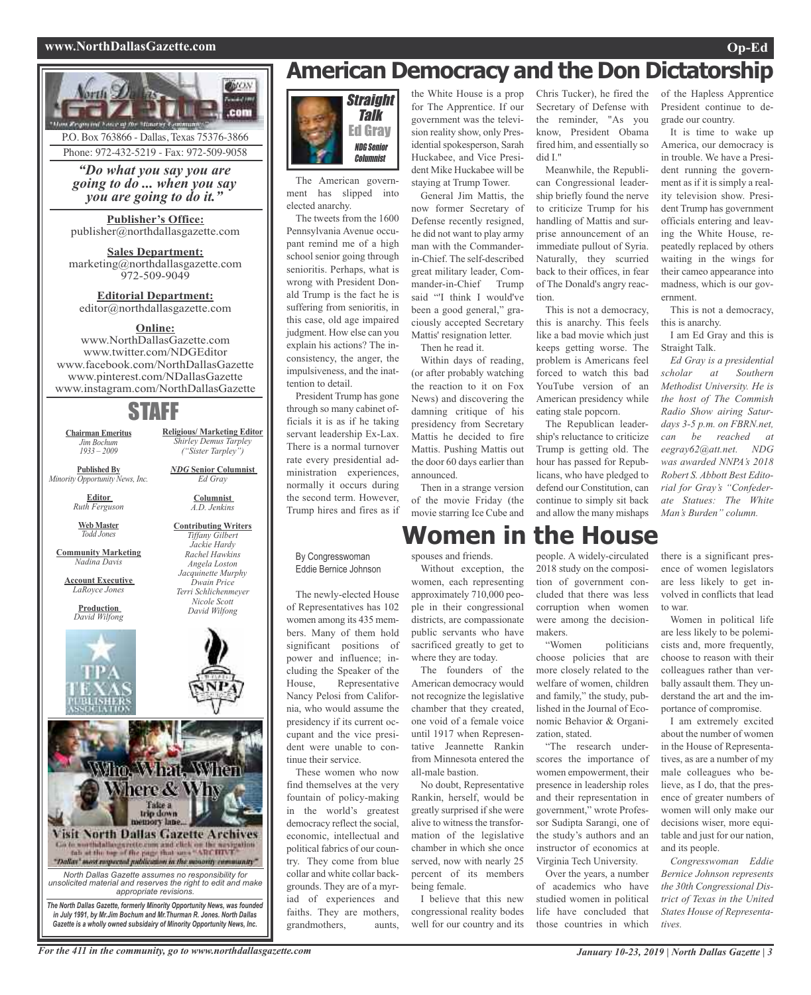#### **www.NorthDallasGazette.com Op-Ed**



P.O. Box 763866 - Dallas, Texas 75376-3866 Phone: 972-432-5219 - Fax: 972-509-9058

*"Do what you say you are going to do ... when you say you are going to do it."*

**Publisher's Office:** publisher@northdallasgazette.com

**Sales Department:** marketing@northdallasgazette.com 972-509-9049

**Editorial Department:** editor@northdallasgazette.com

#### **Online:**

www.NorthDallasGazette.com www.twitter.com/NDGEditor www.facebook.com/NorthDallasGazette www.pinterest.com/NDallasGazette www.instagram.com/NorthDallasGazette

## STAFF

**Religious/ Marketing Editor** *Shirley Demus Tarpley ("Sister Tarpley") NDG* **Senior Columnist** *Ed Gray* **Columnist** *A.D. Jenkins* **Contributing Writers** *Tiffany Gilbert Jackie Hardy Rachel Hawkins Angela Loston Jacquinette Murphy Dwain Price Terri Schlichenmeyer Nicole Scott David Wilfong*

**Chairman Emeritus** *Jim Bochum 1933 – 2009*

**Published By** *Minority Opportunity News, Inc.*

> **Editor** *Ruth Ferguson*

**Web Master** *Todd Jones*

**Community Marketing** *Nadina Davis*

**Account Executive** *LaRoyce Jones*

> **Production** *David Wilfong*





*Gazette is a wholly owned subsidairy of Minority Opportunity News, Inc.*

## **American Democracy and the Don Dictatorship**



The American government has slipped into elected anarchy.

The tweets from the 1600 Pennsylvania Avenue occupant remind me of a high school senior going through senioritis. Perhaps, what is wrong with President Donald Trump is the fact he is suffering from senioritis, in this case, old age impaired judgment. How else can you explain his actions? The inconsistency, the anger, the impulsiveness, and the inattention to detail.

President Trump has gone through so many cabinet officials it is as if he taking servant leadership Ex-Lax. There is a normal turnover rate every presidential administration experiences, normally it occurs during the second term. However, Trump hires and fires as if

#### By Congresswoman Eddie Bernice Johnson

The newly-elected House of Representatives has 102 women among its 435 members. Many of them hold significant positions of power and influence; including the Speaker of the House, Representative Nancy Pelosi from California, who would assume the presidency if its current occupant and the vice president were unable to continue their service.

These women who now find themselves at the very fountain of policy-making in the world's greatest democracy reflect the social, economic, intellectual and political fabrics of our country. They come from blue collar and white collar backgrounds. They are of a myriad of experiences and faiths. They are mothers, grandmothers, aunts,

the White House is a prop for The Apprentice. If our government was the television reality show, only Presidential spokesperson, Sarah Huckabee, and Vice President Mike Huckabee will be staying at Trump Tower.

General Jim Mattis, the now former Secretary of Defense recently resigned, he did not want to play army man with the Commanderin-Chief. The self-described great military leader, Commander-in-Chief Trump said "'I think I would've been a good general," graciously accepted Secretary Mattis' resignation letter. Then he read it.

Within days of reading, (or after probably watching the reaction to it on Fox News) and discovering the damning critique of his presidency from Secretary Mattis he decided to fire Mattis. Pushing Mattis out the door 60 days earlier than announced.

Then in a strange version of the movie Friday (the movie starring Ice Cube and

**Women in the House**

spouses and friends.

Without exception, the women, each representing approximately 710,000 people in their congressional districts, are compassionate public servants who have sacrificed greatly to get to where they are today.

The founders of the American democracy would not recognize the legislative chamber that they created, one void of a female voice until 1917 when Representative Jeannette Rankin from Minnesota entered the all-male bastion.

No doubt, Representative Rankin, herself, would be greatly surprised if she were alive to witness the transformation of the legislative chamber in which she once served, now with nearly 25 percent of its members being female.

I believe that this new congressional reality bodes well for our country and its

Chris Tucker), he fired the Secretary of Defense with the reminder, "As you know, President Obama fired him, and essentially so did I."

Meanwhile, the Republican Congressional leadership briefly found the nerve to criticize Trump for his handling of Mattis and surprise announcement of an immediate pullout of Syria. Naturally, they scurried back to their offices, in fear of The Donald's angry reaction.

This is not a democracy, this is anarchy. This feels like a bad movie which just keeps getting worse. The problem is Americans feel forced to watch this bad YouTube version of an American presidency while eating stale popcorn.

The Republican leadership's reluctance to criticize Trump is getting old. The hour has passed for Republicans, who have pledged to defend our Constitution, can continue to simply sit back and allow the many mishaps of the Hapless Apprentice President continue to degrade our country.

It is time to wake up America, our democracy is in trouble. We have a President running the government as if it is simply a reality television show. President Trump has government officials entering and leaving the White House, repeatedly replaced by others waiting in the wings for their cameo appearance into madness, which is our government.

This is not a democracy, this is anarchy.

I am Ed Gray and this is Straight Talk.

*Ed Gray is a presidential scholar at Southern Methodist University. He is the host of The Commish Radio Show airing Saturdays 3-5 p.m. on FBRN.net, can be reached at eegray62@att.net. NDG was awarded NNPA's 2018 Robert S. Abbott Best Editorial for Gray's "Confederate Statues: The White Man's Burden" column.*

people. A widely-circulated 2018 study on the composition of government concluded that there was less corruption when women were among the decision-

makers. "Women politicians choose policies that are more closely related to the welfare of women, children and family," the study, published in the Journal of Economic Behavior & Organization, stated.

"The research underscores the importance of women empowerment, their presence in leadership roles and their representation in government," wrote Professor Sudipta Sarangi, one of the study's authors and an instructor of economics at Virginia Tech University.

Over the years, a number of academics who have studied women in political life have concluded that those countries in which

there is a significant presence of women legislators are less likely to get involved in conflicts that lead to war.

Women in political life are less likely to be polemicists and, more frequently, choose to reason with their colleagues rather than verbally assault them. They understand the art and the importance of compromise.

I am extremely excited about the number of women in the House of Representatives, as are a number of my male colleagues who believe, as I do, that the presence of greater numbers of women will only make our decisions wiser, more equitable and just for our nation, and its people.

*Congresswoman Eddie Bernice Johnson represents the 30th Congressional District of Texas in the United States House of Representatives.*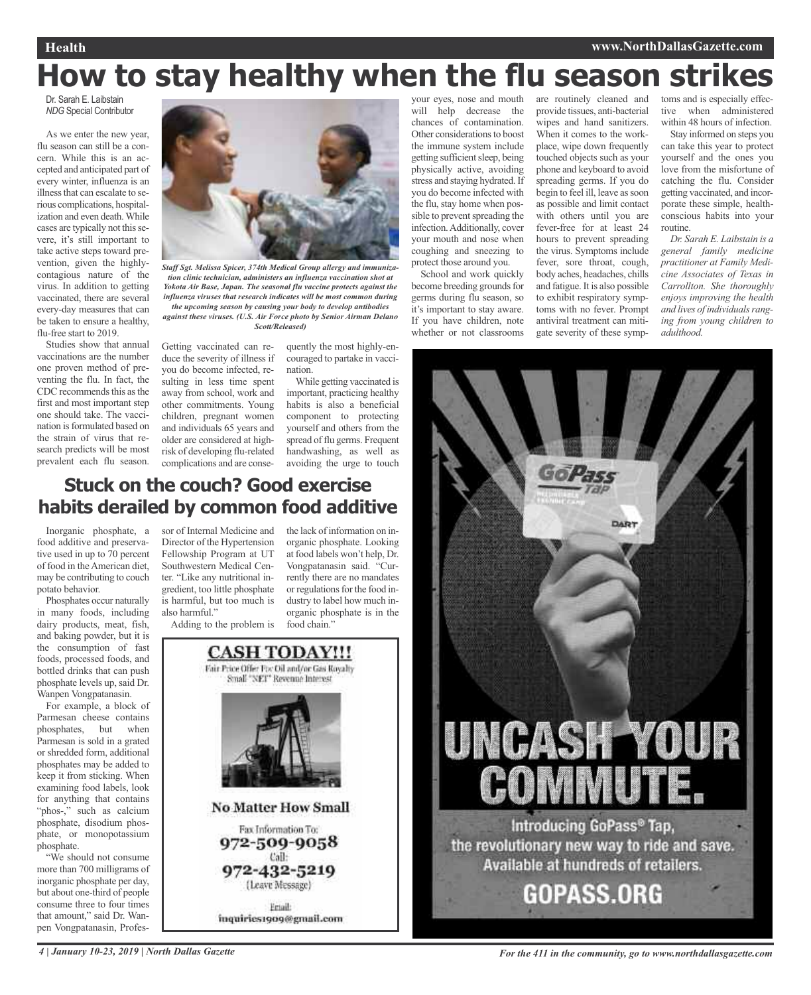#### **Health www.NorthDallasGazette.com**

# **How to stay healthy when the flu season strikes**

Dr. Sarah E. Laibstain *NDG* Special Contributor

As we enter the new year, flu season can still be a concern. While this is an accepted and anticipated part of every winter, influenza is an illness that can escalate to serious complications, hospitalization and even death.While cases are typically not this severe, it's still important to take active steps toward prevention, given the highlycontagious nature of the virus. In addition to getting vaccinated, there are several every-day measures that can be taken to ensure a healthy, flu-free start to 2019.

Studies show that annual vaccinations are the number one proven method of preventing the flu. In fact, the CDC recommends this as the first and most important step one should take. The vaccination is formulated based on the strain of virus that research predicts will be most prevalent each flu season.



*Staff Sgt. Melissa Spicer, 374th Medical Group allergy and immunization clinic technician, administers an influenza vaccination shot at Yokota Air Base, Japan. The seasonal flu vaccine protects against the influenza viruses that research indicates will be most common during the upcoming season by causing your body to develop antibodies*

*against these viruses. (U.S. Air Force photo by Senior Airman Delano Scott/Released)*

Getting vaccinated can reduce the severity of illness if you do become infected, resulting in less time spent away from school, work and other commitments. Young children, pregnant women and individuals 65 years and older are considered at highrisk of developing flu-related complications and are conse-

quently the most highly-encouraged to partake in vaccination.

While getting vaccinated is important, practicing healthy habits is also a beneficial component to protecting yourself and others from the spread of flu germs. Frequent handwashing, as well as avoiding the urge to touch

### **Stuck on the couch? Good exercise habits derailed by common food additive**

Inorganic phosphate, a food additive and preservative used in up to 70 percent of food in theAmerican diet, may be contributing to couch potato behavior.

Phosphates occur naturally in many foods, including dairy products, meat, fish, and baking powder, but it is the consumption of fast foods, processed foods, and bottled drinks that can push phosphate levels up, said Dr. Wanpen Vongpatanasin.

For example, a block of Parmesan cheese contains phosphates, but when Parmesan is sold in a grated or shredded form, additional phosphates may be added to keep it from sticking. When examining food labels, look for anything that contains "phos-," such as calcium phosphate, disodium phosphate, or monopotassium phosphate.

"We should not consume more than 700 milligrams of inorganic phosphate per day, but about one-third of people consume three to four times that amount," said Dr. Wanpen Vongpatanasin, Professor of Internal Medicine and Director of the Hypertension Fellowship Program at UT Southwestern Medical Center. "Like any nutritional ingredient, too little phosphate is harmful, but too much is also harmful."

Adding to the problem is

the lack of information on inorganic phosphate. Looking at food labels won't help, Dr. Vongpatanasin said. "Currently there are no mandates or regulations for the food industry to label how much inorganic phosphate is in the food chain."



inquiries1909@gmail.com

your eyes, nose and mouth will help decrease the chances of contamination. Other considerations to boost the immune system include getting sufficient sleep, being physically active, avoiding stress and staying hydrated. If you do become infected with the flu, stay home when possible to prevent spreading the infection.Additionally, cover your mouth and nose when coughing and sneezing to protect those around you.

School and work quickly become breeding grounds for germs during flu season, so it's important to stay aware. If you have children, note whether or not classrooms

are routinely cleaned and provide tissues, anti-bacterial wipes and hand sanitizers. When it comes to the workplace, wipe down frequently touched objects such as your phone and keyboard to avoid spreading germs. If you do begin to feel ill, leave as soon as possible and limit contact with others until you are fever-free for at least 24 hours to prevent spreading the virus. Symptoms include fever, sore throat, cough, body aches, headaches, chills and fatigue. It is also possible to exhibit respiratory symptoms with no fever. Prompt antiviral treatment can mitigate severity of these symp-

toms and is especially effective when administered within 48 hours of infection.

Stay informed on steps you can take this year to protect yourself and the ones you love from the misfortune of catching the flu. Consider getting vaccinated, and incorporate these simple, healthconscious habits into your routine.

*Dr. Sarah E. Laibstain is a general family medicine practitioner at Family Medicine Associates of Texas in Carrollton. She thoroughly enjoys improving the health and lives of individualsranging from young children to adulthood.*



4 January 10-23, 2019 | North Dallas Gazette State State State State State State State State State State State State State State State State State State State State State State State State State State State State State Sta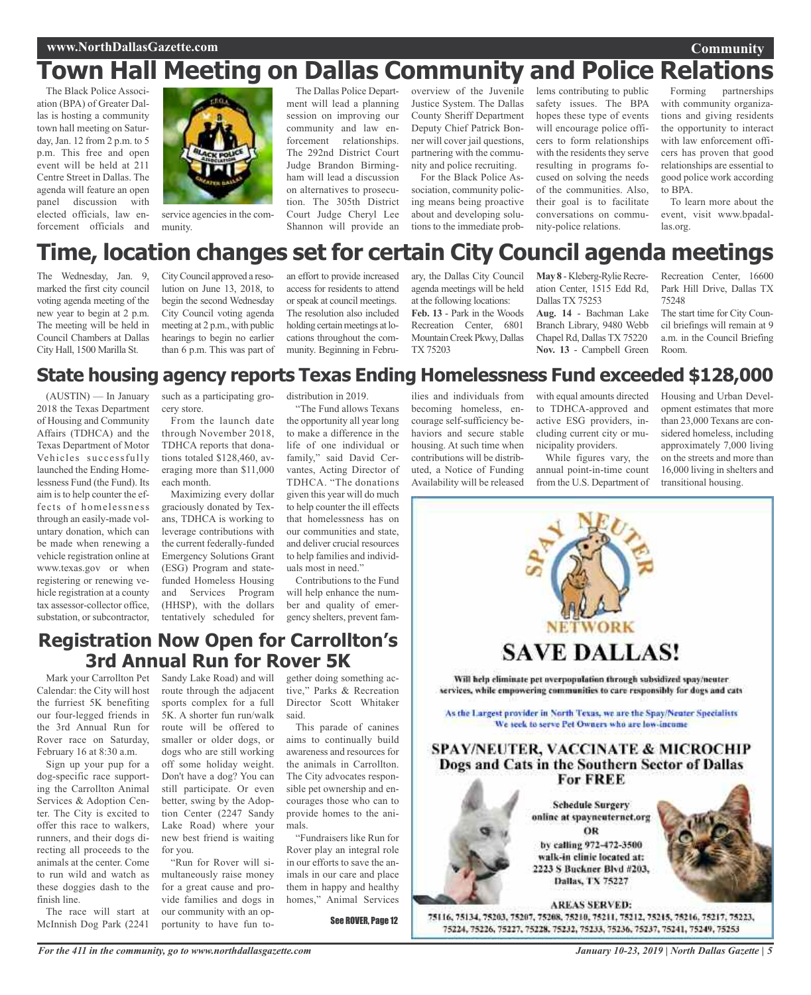#### **www.NorthDallasGazette.com**

## **Town Hall Meeting on Dallas Community and Police Relations**

The Black Police Association (BPA) of Greater Dallas is hosting a community town hall meeting on Saturday, Jan. 12 from 2 p.m. to 5 p.m. This free and open event will be held at 211 Centre Street in Dallas. The agenda will feature an open panel discussion with elected officials, law enforcement officials and



service agencies in the community.

The Dallas Police Department will lead a planning session on improving our community and law enforcement relationships. The 292nd District Court Judge Brandon Birmingham will lead a discussion on alternatives to prosecution. The 305th District Court Judge Cheryl Lee Shannon will provide an

overview of the Juvenile Justice System. The Dallas County Sheriff Department Deputy Chief Patrick Bonner will cover jail questions, partnering with the community and police recruiting.

For the Black Police Association, community policing means being proactive about and developing solutions to the immediate prob-

lems contributing to public safety issues. The BPA hopes these type of events will encourage police officers to form relationships with the residents they serve resulting in programs focused on solving the needs of the communities. Also, their goal is to facilitate conversations on community-police relations.

Forming partnerships with community organizations and giving residents the opportunity to interact with law enforcement officers has proven that good relationships are essential to good police work according to BPA.

**Community**

To learn more about the event, visit www.bpadallas.org.

## **Time, location changes set for certain City Council agenda meetings**

The Wednesday, Jan. 9, marked the first city council voting agenda meeting of the new year to begin at 2 p.m. The meeting will be held in Council Chambers at Dallas City Hall, 1500 Marilla St.

CityCouncil approved a resolution on June 13, 2018, to begin the second Wednesday City Council voting agenda meeting at 2 p.m., with public hearings to begin no earlier than 6 p.m. This was part of an effort to provide increased access for residents to attend orspeak at council meetings. The resolution also included holding certain meetings at locations throughout the community. Beginning in February, the Dallas City Council agenda meetings will be held at the following locations: **Feb. 13** - Park in the Woods Recreation Center, 6801 MountainCreek Pkwy, Dallas TX 75203

**May 8** - Kleberg-Rylie Recreation Center, 1515 Edd Rd, Dallas TX 75253 **Aug. 14** - Bachman Lake Branch Library, 9480 Webb

Chapel Rd, Dallas TX 75220 **Nov. 13** - Campbell Green

Recreation Center, 16600 Park Hill Drive, Dallas TX 75248

The start time for City Council briefings will remain at 9 a.m. in the Council Briefing Room.

### **State housing agency reports Texas Ending Homelessness Fund exceeded \$128,000**

(AUSTIN) — In January 2018 the Texas Department of Housing and Community Affairs (TDHCA) and the Texas Department of Motor Vehicles successfully launched the Ending Homelessness Fund (the Fund). Its aim is to help counter the effects of homelessness through an easily-made voluntary donation, which can be made when renewing a vehicle registration online at www.texas.gov or when registering or renewing vehicle registration at a county tax assessor-collector office, substation, or subcontractor,

such as a participating grocery store.

From the launch date through November 2018, TDHCA reports that donations totaled \$128,460, averaging more than \$11,000 each month.

Maximizing every dollar graciously donated by Texans, TDHCA is working to leverage contributions with the current federally-funded Emergency Solutions Grant (ESG) Program and statefunded Homeless Housing and Services Program (HHSP), with the dollars tentatively scheduled for

distribution in 2019.

"The Fund allows Texans the opportunity all year long to make a difference in the life of one individual or family," said David Cervantes, Acting Director of TDHCA. "The donations given this year will do much to help counter the ill effects that homelessness has on our communities and state, and deliver crucial resources to help families and individuals most in need."

Contributions to the Fund will help enhance the number and quality of emergency shelters, prevent fam-

### **Registration Now Open for Carrollton's 3rd Annual Run for Rover 5K**

Mark your Carrollton Pet Calendar: the City will host the furriest 5K benefiting our four-legged friends in the 3rd Annual Run for Rover race on Saturday, February 16 at 8:30 a.m.

Sign up your pup for a dog-specific race supporting the Carrollton Animal Services & Adoption Center. The City is excited to offer this race to walkers, runners, and their dogs directing all proceeds to the animals at the center. Come to run wild and watch as these doggies dash to the finish line.

The race will start at McInnish Dog Park (2241

Sandy Lake Road) and will route through the adjacent sports complex for a full 5K. A shorter fun run/walk route will be offered to smaller or older dogs, or dogs who are still working off some holiday weight. Don't have a dog? You can still participate. Or even better, swing by the Adoption Center (2247 Sandy Lake Road) where your new best friend is waiting for you.

"Run for Rover will simultaneously raise money for a great cause and provide families and dogs in our community with an opportunity to have fun together doing something active," Parks & Recreation Director Scott Whitaker said.

This parade of canines aims to continually build awareness and resources for the animals in Carrollton. The City advocates responsible pet ownership and encourages those who can to provide homes to the animals.

"Fundraisers like Run for Rover play an integral role in our efforts to save the animals in our care and place them in happy and healthy homes," Animal Services

See ROVER, Page 12

ilies and individuals from becoming homeless, encourage self-sufficiency behaviors and secure stable housing. At such time when contributions will be distributed, a Notice of Funding Availability will be released

with equal amounts directed to TDHCA-approved and active ESG providers, including current city or municipality providers.

While figures vary, the annual point-in-time count from the U.S. Department of Housing and Urban Development estimates that more than 23,000 Texans are considered homeless, including approximately 7,000 living on the streets and more than 16,000 living in shelters and transitional housing.



*January 10-23, 2019 | North Dallas Gazette | 5*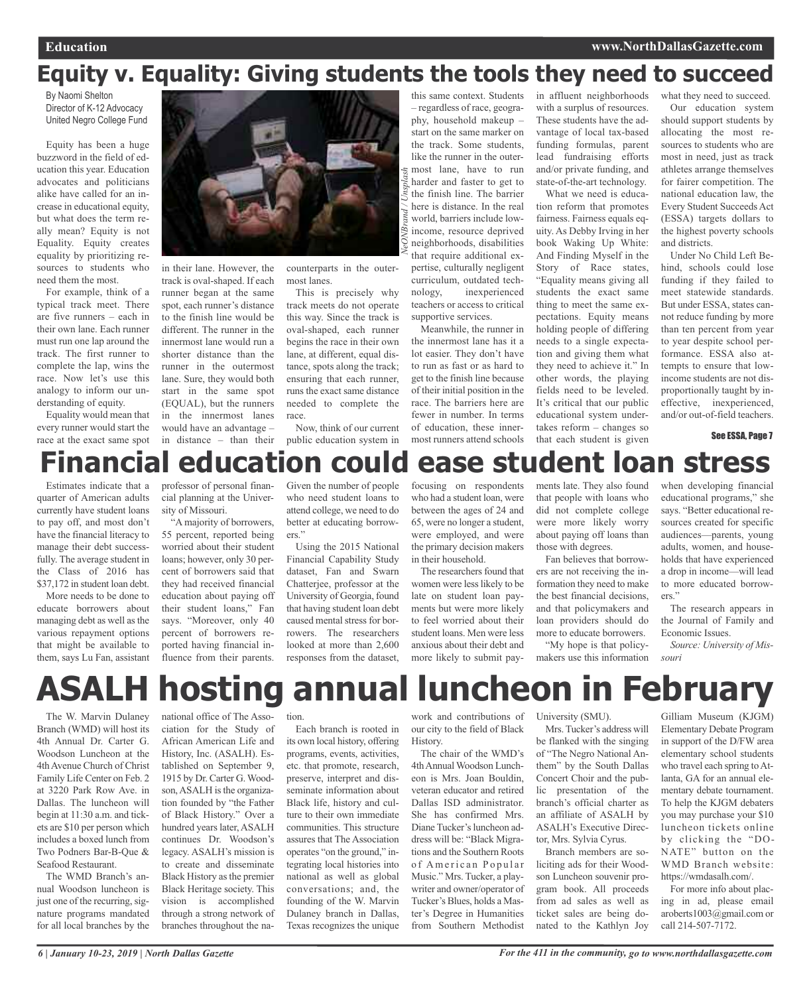## **Equity v. Equality: Giving students the tools they need to succeed**

*NeONBrand / Unsplash*

By Naomi Shelton Director of K-12 Advocacy United Negro College Fund

Equity has been a huge buzzword in the field of education this year. Education advocates and politicians alike have called for an increase in educational equity, but what does the term really mean? Equity is not Equality. Equity creates equality by prioritizing resources to students who need them the most.

For example, think of a typical track meet. There are five runners – each in their own lane. Each runner must run one lap around the track. The first runner to complete the lap, wins the race. Now let's use this analogy to inform our understanding of equity.

Equality would mean that every runner would start the race at the exact same spot

in their lane. However, the track is oval-shaped. If each runner began at the same spot, each runner's distance to the finish line would be different. The runner in the innermost lane would run a shorter distance than the runner in the outermost lane. Sure, they would both start in the same spot (EQUAL), but the runners in the innermost lanes would have an advantage –

counterparts in the outermost lanes.

This is precisely why track meets do not operate this way. Since the track is oval-shaped, each runner begins the race in their own lane, at different, equal distance, spots along the track; ensuring that each runner, runs the exact same distance needed to complete the race.

in distance – than their public education system in Now, think of our current

this same context. Students – regardless of race, geography, household makeup – start on the same marker on the track. Some students, like the runner in the outermost lane, have to run harder and faster to get to the finish line. The barrier here is distance. In the real world, barriers include lowincome, resource deprived neighborhoods, disabilities that require additional expertise, culturally negligent curriculum, outdated technology, inexperienced teachers or access to critical supportive services.

Meanwhile, the runner in the innermost lane has it a lot easier. They don't have to run as fast or as hard to get to the finish line because of their initial position in the race. The barriers here are fewer in number. In terms of education, these innermost runners attend schools in affluent neighborhoods with a surplus of resources. These students have the advantage of local tax-based funding formulas, parent lead fundraising efforts and/or private funding, and state-of-the-art technology.

What we need is education reform that promotes fairness. Fairness equals equity. As Debby Irving in her book Waking Up White: And Finding Myself in the Story of Race states, "Equality means giving all students the exact same thing to meet the same expectations. Equity means holding people of differing needs to a single expectation and giving them what they need to achieve it." In other words, the playing fields need to be leveled. It's critical that our public educational system undertakes reform – changes so that each student is given

what they need to succeed. Our education system should support students by allocating the most resources to students who are most in need, just as track athletes arrange themselves for fairer competition. The national education law, the Every Student Succeeds Act (ESSA) targets dollars to the highest poverty schools and districts.

Under No Child Left Behind, schools could lose funding if they failed to meet statewide standards. But under ESSA, states cannot reduce funding by more than ten percent from year to year despite school performance. ESSA also attempts to ensure that lowincome students are not disproportionally taught by ineffective, inexperienced, and/or out-of-field teachers.

See ESSA, Page 7



Estimates indicate that a quarter of American adults currently have student loans to pay off, and most don't have the financial literacy to manage their debt successfully. The average student in the Class of 2016 has \$37,172 in student loan debt.

More needs to be done to educate borrowers about managing debt as well asthe various repayment options that might be available to them, says Lu Fan, assistant

professor of personal financial planning at the University of Missouri.

"A majority of borrowers, 55 percent, reported being worried about their student loans; however, only 30 percent of borrowers said that they had received financial education about paying off their student loans," Fan says. "Moreover, only 40 percent of borrowers reported having financial influence from their parents.

Given the number of people who need student loans to attend college, we need to do better at educating borrowers."

Using the 2015 National Financial Capability Study dataset, Fan and Swarn Chatterjee, professor at the University of Georgia, found that having student loan debt caused mental stress for borrowers. The researchers looked at more than 2,600 responses from the dataset, focusing on respondents who had a student loan, were between the ages of 24 and 65, were no longer a student, were employed, and were the primary decision makers in their household.

The researchers found that women were less likely to be late on student loan payments but were more likely to feel worried about their student loans. Men were less anxious about their debt and more likely to submit payments late. They also found that people with loans who did not complete college were more likely worry about paying off loans than those with degrees.

Fan believes that borrowers are not receiving the information they need to make the best financial decisions, and that policymakers and loan providers should do more to educate borrowers.

"My hope is that policymakers use this information when developing financial educational programs," she says. "Better educational resources created for specific audiences—parents, young adults, women, and households that have experienced a drop in income—will lead to more educated borrowers."

The research appears in the Journal of Family and Economic Issues.

*Source: University of Missouri*

## **ASALH hosting annual luncheon in February**

The W. Marvin Dulaney Branch (WMD) will host its 4th Annual Dr. Carter G. Woodson Luncheon at the 4thAvenue Church of Christ Family Life Center on Feb. 2 at 3220 Park Row Ave. in Dallas. The luncheon will begin at 11:30 a.m. and tickets are \$10 per person which includes a boxed lunch from Two Podners Bar-B-Que & Seafood Restaurant.

The WMD Branch's annual Woodson luncheon is just one of the recurring, signature programs mandated for all local branches by the

national office of The Association for the Study of African American Life and History, Inc. (ASALH). Established on September 9, 1915 by Dr. Carter G. Woodson, ASALH is the organization founded by "the Father of Black History." Over a hundred years later, ASALH continues Dr. Woodson's legacy. ASALH's mission is to create and disseminate Black History as the premier Black Heritage society. This vision is accomplished through a strong network of branches throughout the na-

tion.

Each branch is rooted in its own local history, offering programs, events, activities, etc. that promote, research, preserve, interpret and disseminate information about Black life, history and culture to their own immediate communities. This structure assures that The Association operates "on the ground," integrating local histories into national as well as global conversations; and, the founding of the W. Marvin Dulaney branch in Dallas, Texas recognizes the unique

work and contributions of our city to the field of Black History.

The chair of the WMD's 4thAnnual Woodson Luncheon is Mrs. Joan Bouldin, veteran educator and retired Dallas ISD administrator. She has confirmed Mrs. Diane Tucker's luncheon address will be: "Black Migrations and the Southern Roots of American Popular Music." Mrs. Tucker, a playwriter and owner/operator of Tucker's Blues, holds a Master's Degree in Humanities from Southern Methodist

University (SMU).

Mrs. Tucker's address will be flanked with the singing of "The Negro National Anthem" by the South Dallas Concert Choir and the public presentation of the branch's official charter as an affiliate of ASALH by ASALH's Executive Director, Mrs. Sylvia Cyrus.

Branch members are soliciting ads for their Woodson Luncheon souvenir program book. All proceeds from ad sales as well as ticket sales are being donated to the Kathlyn Joy

Gilliam Museum (KJGM) Elementary Debate Program in support of the D/FW area elementary school students who travel each spring to Atlanta, GA for an annual elementary debate tournament. To help the KJGM debaters you may purchase your \$10 luncheon tickets online by clicking the "DO-NATE" button on the WMD Branch website: https://wmdasalh.com/.

For more info about placing in ad, please email aroberts1003@gmail.com or call 214-507-7172.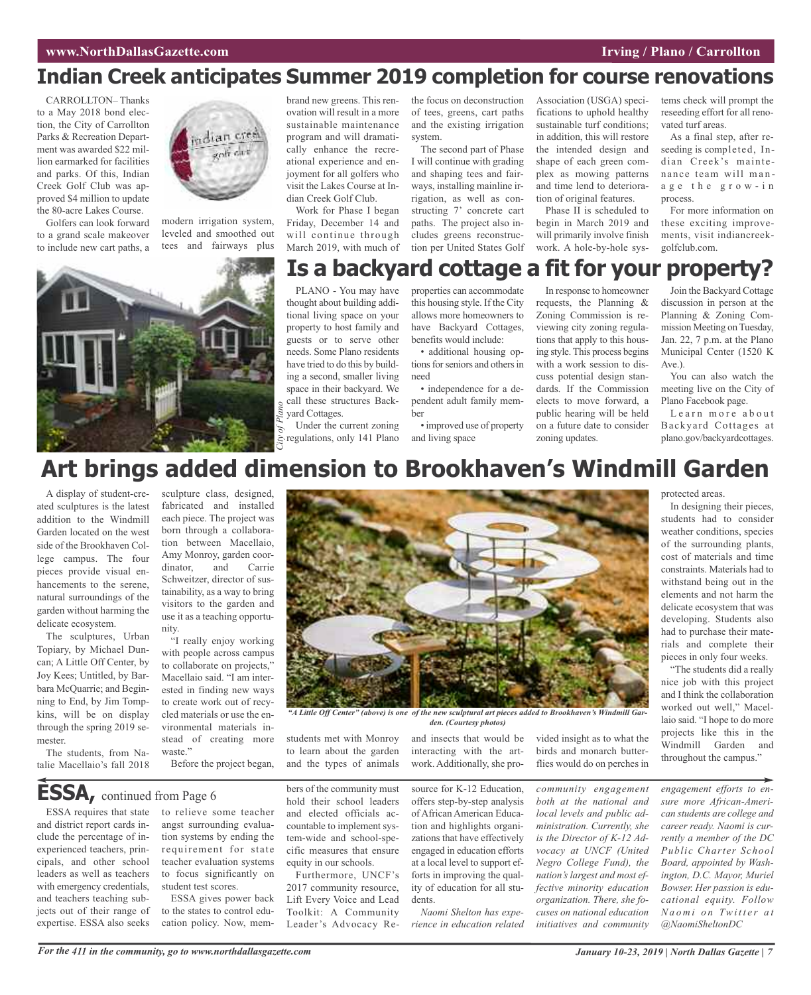## **Indian Creek anticipates Summer 2019 completion for course renovations**

CARROLLTON– Thanks to a May 2018 bond election, the City of Carrollton Parks & Recreation Department was awarded \$22 million earmarked for facilities and parks. Of this, Indian Creek Golf Club was approved \$4 million to update the 80-acre Lakes Course.

Golfers can look forward to a grand scale makeover to include new cart paths, a



modern irrigation system, leveled and smoothed out tees and fairways plus



brand new greens. This renovation will result in a more sustainable maintenance program and will dramatically enhance the recreational experience and enjoyment for all golfers who visit the Lakes Course at Indian Creek Golf Club.

Work for Phase I began Friday, December 14 and will continue through March 2019, with much of

the focus on deconstruction of tees, greens, cart paths and the existing irrigation system.

The second part of Phase I will continue with grading and shaping tees and fairways, installing mainline irrigation, as well as constructing 7' concrete cart paths. The project also includes greens reconstruction per United States Golf

Association (USGA) specifications to uphold healthy sustainable turf conditions; in addition, this will restore the intended design and shape of each green complex as mowing patterns and time lend to deterioration of original features.

Phase II is scheduled to begin in March 2019 and will primarily involve finish work. A hole-by-hole systems check will prompt the reseeding effort for all renovated turf areas.

As a final step, after reseeding is completed, Indian Creek's maintenance team will mana g e t h e g r o w - i n process.

For more information on these exciting improvements, visit indiancreekgolfclub.com.

## **Is a backyard cottage a fit for your property?**

PLANO - You may have thought about building additional living space on your property to host family and guests or to serve other needs. Some Plano residents have tried to do this by building a second, smaller living space in their backyard. We call these structures Back-

City<sup>o</sup> **C**inder the current zoning<br> *C*<sub>i</sub> regulations, only 141 Plano<br>
C yard Cottages. Under the current zoning properties can accommodate this housing style. If the City allows more homeowners to have Backyard Cottages, benefits would include: • additional housing op-

tions for seniors and others in need

• independence for a dependent adult family member

• improved use of property and living space

In response to homeowner requests, the Planning & Zoning Commission is reviewing city zoning regulations that apply to this housing style. This process begins with a work session to discuss potential design standards. If the Commission elects to move forward, a public hearing will be held on a future date to consider zoning updates.

Join the Backyard Cottage discussion in person at the Planning & Zoning Commission Meeting on Tuesday, Jan. 22, 7 p.m. at the Plano Municipal Center (1520 K Ave.).

You can also watch the meeting live on the City of Plano Facebook page.

Learn more about Backyard Cottages at plano.gov/backyardcottages.

## **Art brings added dimension to Brookhaven's Windmill Garden**

A display of student-created sculptures is the latest addition to the Windmill Garden located on the west side of the Brookhaven College campus. The four pieces provide visual enhancements to the serene, natural surroundings of the garden without harming the delicate ecosystem.

The sculptures, Urban Topiary, by Michael Duncan; A Little Off Center, by Joy Kees; Untitled, by Barbara McQuarrie; and Beginning to End, by Jim Tompkins, will be on display through the spring 2019 semester.

The students, from Natalie Macellaio's fall 2018 dinator, and Carrie Schweitzer, director of sustainability, as a way to bring visitors to the garden and use it as a teaching opportunity. "I really enjoy working with people across campus to collaborate on projects," Macellaio said. "I am interested in finding new ways to create work out of recycled materials or use the en-

sculpture class, designed, fabricated and installed each piece. The project was born through a collaboration between Macellaio, Amy Monroy, garden coor-

vironmental materials instead of creating more waste."

Before the project began,

## **ESSA,** continued from Page <sup>6</sup>

ESSA requires that state and district report cards include the percentage of inexperienced teachers, principals, and other school leaders as well as teachers with emergency credentials, and teachers teaching subjects out of their range of expertise. ESSA also seeks



ESSA gives power back to the states to control education policy. Now, mem-



"A Little Off Center" (above) is one of the new sculptural art pieces added to Brookhaven's Windmill Gar*den. (Courtesy photos)*

students met with Monroy to learn about the garden and the types of animals

bers of the community must hold their school leaders and elected officials accountable to implement system-wide and school-specific measures that ensure equity in our schools.

Furthermore, UNCF's 2017 community resource, Lift Every Voice and Lead Toolkit: A Community Leader's Advocacy Reand insects that would be interacting with the artwork. Additionally, she pro-

source for K-12 Education, offers step-by-step analysis of African American Education and highlights organizations that have effectively engaged in education efforts at a local level to support efforts in improving the quality of education for all students.

*Naomi Shelton has experience in education related* vided insight as to what the birds and monarch butterflies would do on perches in

*community engagement both at the national and local levels and public administration. Currently, she is the Director of K-12 Advocacy at UNCF (United Negro College Fund), the nation's largest and most effective minority education organization. There, she focuses on national education initiatives and community*

protected areas.

In designing their pieces, students had to consider weather conditions, species of the surrounding plants, cost of materials and time constraints. Materials had to withstand being out in the elements and not harm the delicate ecosystem that was developing. Students also had to purchase their materials and complete their pieces in only four weeks.

"The students did a really nice job with this project and I think the collaboration worked out well," Macellaio said. "I hope to do more projects like this in the Windmill Garden and throughout the campus."

*engagement efforts to ensure more African-American students are college and career ready. Naomi is currently a member of the DC Public Charter School Board, appointed by Washington, D.C. Mayor, Muriel Bowser. Her passion is educational equity. Follow Na o m i o n Twi t t e r a t @NaomiSheltonDC*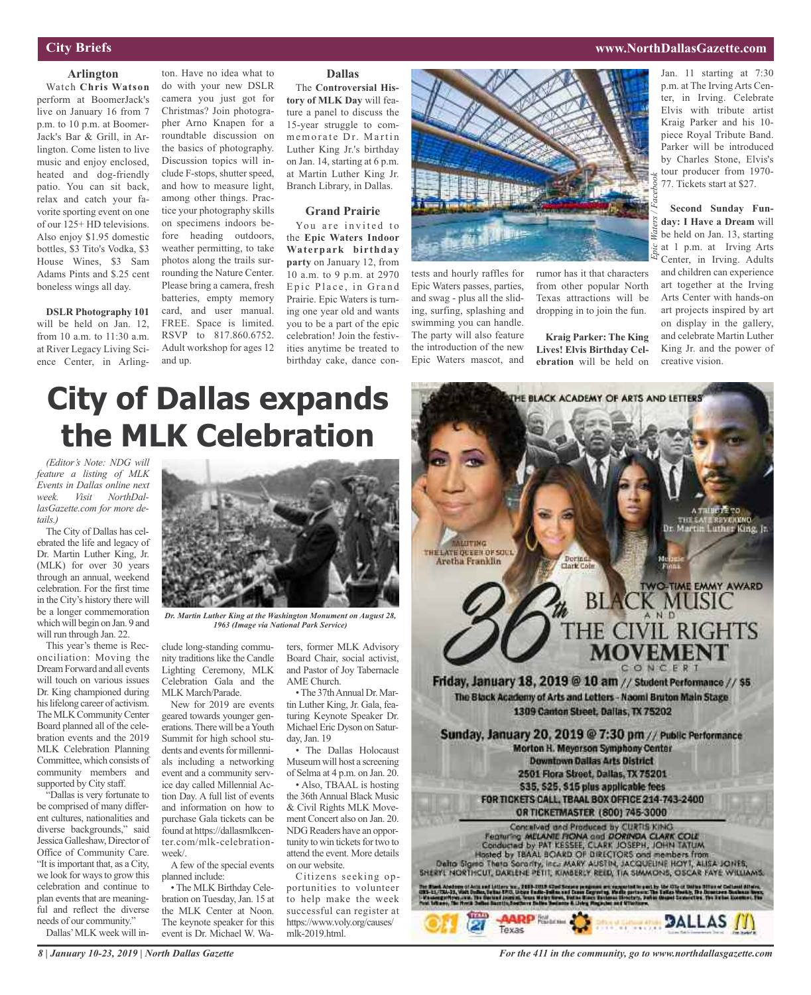#### **City Briefs**

### **Arlington**

Watch **Chris Watson** perform at BoomerJack's live on January 16 from 7 p.m. to 10 p.m. at Boomer-Jack's Bar & Grill, in Arlington. Come listen to live music and enjoy enclosed, heated and dog-friendly patio. You can sit back, relax and catch your favorite sporting event on one of our 125+ HD televisions. Also enjoy \$1.95 domestic bottles, \$3 Tito's Vodka, \$3 House Wines, \$3 Sam Adams Pints and \$.25 cent boneless wings all day.

**DSLR Photography 101** will be held on Jan. 12, from 10 a.m. to 11:30 a.m. at River Legacy Living Science Center, in Arling-

ton. Have no idea what to do with your new DSLR camera you just got for Christmas? Join photographer Arno Knapen for a roundtable discussion on the basics of photography. Discussion topics will include F-stops, shutter speed, and how to measure light, among other things. Practice your photography skills on specimens indoors before heading outdoors, weather permitting, to take photos along the trails surrounding the Nature Center. Please bring a camera, fresh batteries, empty memory card, and user manual. FREE. Space is limited. RSVP to 817.860.6752. Adult workshop for ages 12 and up.

### **Dallas**

The **Controversial History of MLK Day** will feature a panel to discuss the 15-year struggle to commemorate Dr. Martin Luther King Jr.'s birthday on Jan. 14, starting at 6 p.m. at Martin Luther King Jr. Branch Library, in Dallas.

#### **Grand Prairie**

You are invited to the **Epic Waters Indoor Waterpark birthday party** on January 12, from 10 a.m. to 9 p.m. at 2970 Epic Place, in Grand Prairie. Epic Waters is turning one year old and wants you to be a part of the epic celebration! Join the festivities anytime be treated to birthday cake, dance con-



tests and hourly raffles for Epic Waters passes, parties, and swag - plus all the sliding, surfing, splashing and swimming you can handle. The party will also feature the introduction of the new Epic Waters mascot, and

rumor has it that characters from other popular North Texas attractions will be dropping in to join the fun.

**Kraig Parker: The King Lives! Elvis Birthday Celebration** will be held on

Jan. 11 starting at 7:30 p.m. at The Irving Arts Center, in Irving. Celebrate Elvis with tribute artist Kraig Parker and his 10 piece Royal Tribute Band. Parker will be introduced by Charles Stone, Elvis's tour producer from 1970- 77. Tickets start at \$27.

**Second Sunday Funday: I Have a Dream** will be held on Jan. 13, starting  $\frac{1}{6}$  at 1 p.m. at Irving Arts Center, in Irving. Adults and children can experience art together at the Irving Arts Center with hands-on art projects inspired by art on display in the gallery, and celebrate Martin Luther King Jr. and the power of creative vision.

### **www.NorthDallasGazette.com**

# **City of Dallas expands the MLK Celebration**

*(Editor's Note: NDG will feature a listing of MLK Events in Dallas online next week. Visit NorthDallasGazette.com for more details.)*

The City of Dallas has celebrated the life and legacy of Dr. Martin Luther King, Jr. (MLK) for over 30 years through an annual, weekend celebration. For the first time in the City's history there will be a longer commemoration which will begin on Jan. 9 and will run through Jan. 22.

This year's theme is Reconciliation: Moving the DreamForward and all events will touch on various issues Dr. King championed during his lifelong career of activism. The MLK Community Center Board planned all of the celebration events and the 2019 MLK Celebration Planning Committee, which consists of community members and supported by City staff.

"Dallas is very fortunate to be comprised of many different cultures, nationalities and diverse backgrounds," said Jessica Galleshaw, Director of Office of Community Care. "It isimportant that, as a City, we look for ways to grow this celebration and continue to plan events that are meaningful and reflect the diverse needs of our community."

Dallas'MLK week will in-



*Dr. Martin Luther King at the Washington Monument on August 28, 1963 (Image via National Park Service)*

clude long-standing community traditions like the Candle Lighting Ceremony, MLK Celebration Gala and the MLK March/Parade.

New for 2019 are events geared towards younger generations. There will be a Youth Summit for high school students and events for millennials including a networking event and a community service day called Millennial Action Day. A full list of events and information on how to purchase Gala tickets can be found at https://dallasmlkcenter.com/mlk-celebrationweek/.

A few of the special events planned include:

• The MLK Birthday Celebration on Tuesday, Jan. 15 at the MLK Center at Noon. The keynote speaker for this event is Dr. Michael W. Waters, former MLK Advisory Board Chair, social activist, and Pastor of Joy Tabernacle AME Church.

•The 37thAnnual Dr. Martin Luther King, Jr. Gala, featuring Keynote Speaker Dr. Michael Eric Dyson on Saturday, Jan. 19

• The Dallas Holocaust Museumwill host a screening of Selma at 4 p.m. on Jan. 20.

• Also, TBAAL is hosting the 36th Annual Black Music & Civil Rights MLK Movement Concert also on Jan. 20. NDG Readers have an opportunity to win tickets for two to attend the event. More details on our website.

Citizens seeking opportunities to volunteer to help make the week successful can register at https://www.voly.org/causes/ mlk-2019.html.

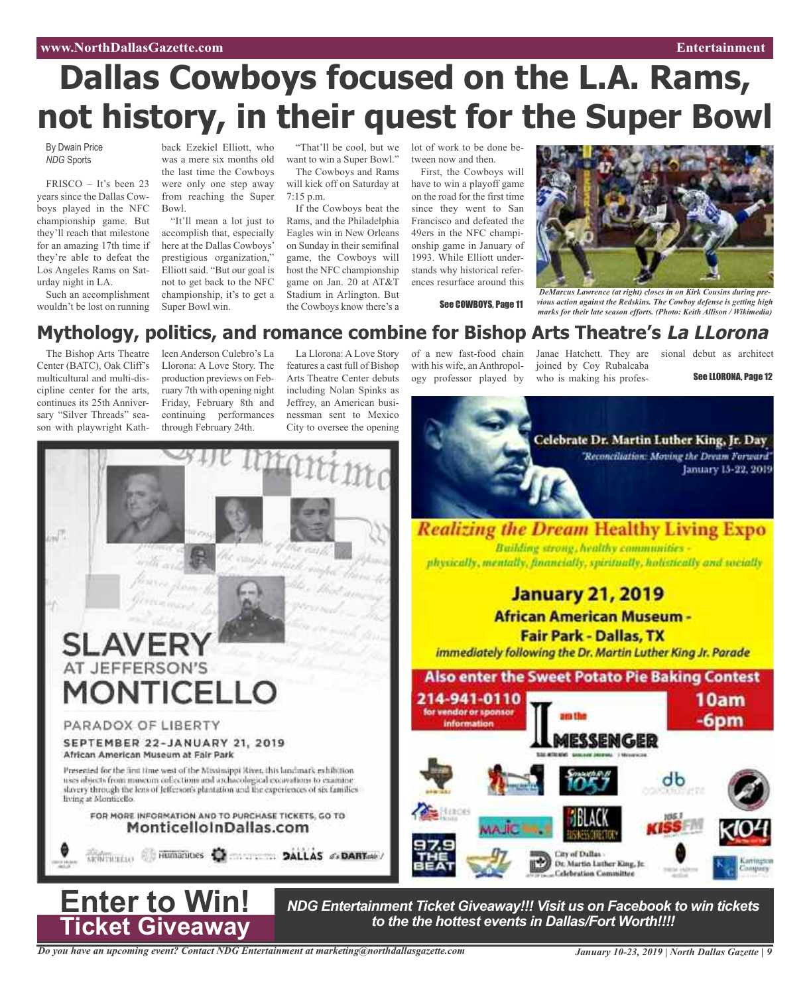#### **www.NorthDallasGazette.com Entertainment**

# **Dallas Cowboys focused on the L.A. Rams, not history, in their quest for the Super Bowl**

By Dwain Price *NDG* Sports

FRISCO – It's been 23 years since the Dallas Cowboys played in the NFC championship game. But they'll reach that milestone for an amazing 17th time if they're able to defeat the Los Angeles Rams on Saturday night in LA.

Such an accomplishment wouldn't be lost on running

back Ezekiel Elliott, who was a mere six months old the last time the Cowboys were only one step away from reaching the Super Bowl.

"It'll mean a lot just to accomplish that, especially here at the Dallas Cowboys' prestigious organization," Elliott said. "But our goal is not to get back to the NFC championship, it's to get a Super Bowl win.

"That'll be cool, but we want to win a Super Bowl."

The Cowboys and Rams will kick off on Saturday at 7:15 p.m.

If the Cowboys beat the Rams, and the Philadelphia Eagles win in New Orleans on Sunday in their semifinal game, the Cowboys will host the NFC championship game on Jan. 20 at AT&T Stadium in Arlington. But the Cowboys know there's a

lot of work to be done between now and then.

First, the Cowboys will have to win a playoff game on the road for the first time since they went to San Francisco and defeated the 49ers in the NFC championship game in January of 1993. While Elliott understands why historical references resurface around this

See COWBOYS, Page 11



*DeMarcus Lawrence (at right) closes in on Kirk Cousins during previous action against the Redskins. The Cowboy defense is getting high marks for their late season efforts. (Photo: Keith Allison / Wikimedia)*

### **Mythology, politics, and romance combine for Bishop Arts Theatre's La LLorona**

The Bishop Arts Theatre Center (BATC), Oak Cliff's multicultural and multi-discipline center for the arts, continues its 25th Anniversary "Silver Threads" season with playwright Kath-

leen Anderson Culebro's La Llorona: A Love Story. The production previews on February 7th with opening night Friday, February 8th and continuing performances through February 24th.

La Llorona: A Love Story features a cast full of Bishop Arts Theatre Center debuts including Nolan Spinks as Jeffrey, an American businessman sent to Mexico City to oversee the opening of a new fast-food chain with his wife, an Anthropology professor played by Janae Hatchett. They are joined by Coy Rubalcaba who is making his profes-

sional debut as architect

See LLORONA, Page 12





*NDG Entertainment Ticket Giveaway!!! Visit us on Facebook to win tickets to the the hottest events in Dallas/Fort Worth!!!!*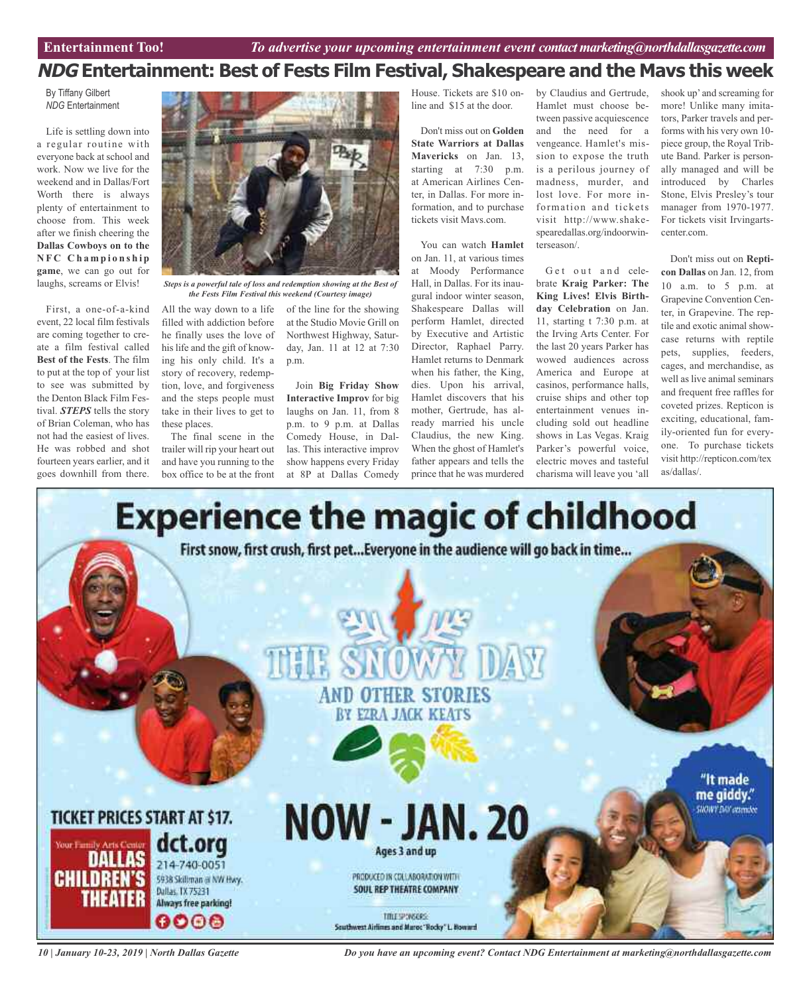### **NDG Entertainment: Best of Fests Film Festival, Shakespeare and the Mavs this week**

By Tiffany Gilbert *NDG* Entertainment

Life is settling down into a regular routine with everyone back at school and work. Now we live for the weekend and in Dallas/Fort Worth there is always plenty of entertainment to choose from. This week after we finish cheering the **Dallas Cowboys on to the N F C C h a m p i o n s h i p game**, we can go out for laughs, screams or Elvis!

First, a one-of-a-kind event, 22 local film festivals are coming together to create a film festival called **Best of the Fests**. The film to put at the top of your list to see was submitted by the Denton Black Film Festival. *STEPS* tells the story of Brian Coleman, who has not had the easiest of lives. He was robbed and shot fourteen years earlier, and it goes downhill from there.



*Steps is a powerful tale of loss and redemption showing at the Best of the Fests Film Festival this weekend (Courtesy image)*

All the way down to a life of the line for the showing filled with addiction before he finally uses the love of his life and the gift of knowing his only child. It's a story of recovery, redemption, love, and forgiveness and the steps people must take in their lives to get to these places.

The final scene in the trailer will rip your heart out and have you running to the box office to be at the front

at the Studio Movie Grill on Northwest Highway, Saturday, Jan. 11 at 12 at 7:30 p.m.

Join **Big Friday Show Interactive Improv** for big laughs on Jan. 11, from 8 p.m. to 9 p.m. at Dallas Comedy House, in Dallas. This interactive improv show happens every Friday at 8P at Dallas Comedy

House. Tickets are \$10 online and \$15 at the door.

Don't miss out on **Golden State Warriors at Dallas Mavericks** on Jan. 13, starting at 7:30 p.m. at American Airlines Center, in Dallas. For more information, and to purchase tickets visit Mavs.com.

You can watch **Hamlet** on Jan. 11, at various times at Moody Performance Hall, in Dallas. For its inaugural indoor winter season, Shakespeare Dallas will perform Hamlet, directed by Executive and Artistic Director, Raphael Parry. Hamlet returns to Denmark when his father, the King, dies. Upon his arrival, Hamlet discovers that his mother, Gertrude, has already married his uncle Claudius, the new King. When the ghost of Hamlet's father appears and tells the prince that he was murdered

by Claudius and Gertrude, Hamlet must choose between passive acquiescence and the need for a vengeance. Hamlet's mission to expose the truth is a perilous journey of madness, murder, and lost love. For more information and tickets visit http://www.shakespearedallas.org/indoorwinterseason/.

Get out and celebrate **Kraig Parker: The King Lives! Elvis Birthday Celebration** on Jan. 11, starting t 7:30 p.m. at the Irving Arts Center. For the last 20 years Parker has wowed audiences across America and Europe at casinos, performance halls, cruise ships and other top entertainment venues including sold out headline shows in Las Vegas. Kraig Parker's powerful voice, electric moves and tasteful charisma will leave you 'all shook up' and screaming for more! Unlike many imitators, Parker travels and performs with his very own 10 piece group, the Royal Tribute Band. Parker is personally managed and will be introduced by Charles Stone, Elvis Presley's tour manager from 1970-1977. For tickets visit Irvingartscenter com

Don't miss out on **Repticon Dallas** on Jan. 12, from 10 a.m. to 5 p.m. at Grapevine Convention Center, in Grapevine. The reptile and exotic animal showcase returns with reptile pets, supplies, feeders, cages, and merchandise, as well as live animal seminars and frequent free raffles for coveted prizes. Repticon is exciting, educational, family-oriented fun for everyone. To purchase tickets visit http://repticon.com/tex as/dallas/.



*10 | January 10-23, 2019 | North Dallas Gazette*

*Do you have an upcoming event? Contact NDG Entertainment at marketing@northdallasgazette.com*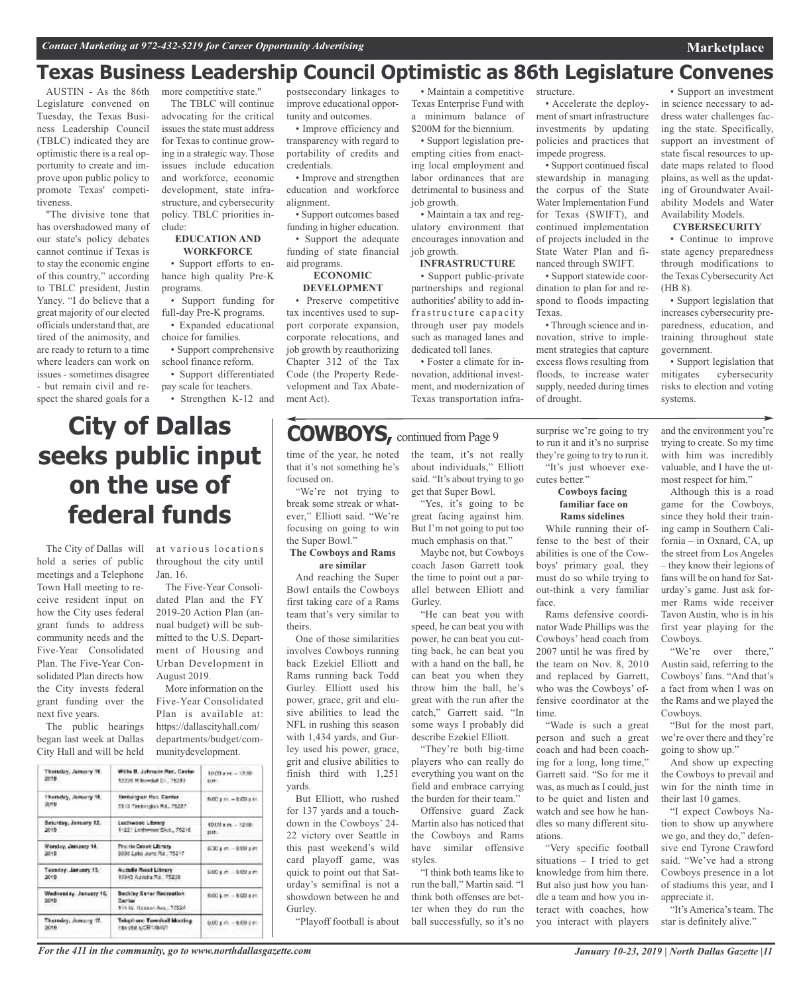### **Texas Business Leadership Council Optimistic as 86th Legislature Convenes**

AUSTIN - As the 86th Legislature convened on Tuesday, the Texas Business Leadership Council (TBLC) indicated they are optimistic there is a real opportunity to create and improve upon public policy to promote Texas' competitiveness.

"The divisive tone that has overshadowed many of our state's policy debates cannot continue if Texas is to stay the economic engine of this country," according to TBLC president, Justin Yancy. "I do believe that a great majority of our elected officials understand that, are tired of the animosity, and are ready to return to a time where leaders can work on issues - sometimes disagree - but remain civil and respect the shared goals for a

more competitive state." The TBLC will continue advocating for the critical issues the state must address for Texas to continue growing in a strategic way. Those issues include education and workforce, economic development, state infrastructure, and cybersecurity policy. TBLC priorities include:

#### **EDUCATION AND WORKFORCE**

• Support efforts to enhance high quality Pre-K programs.

• Support funding for full-day Pre-K programs.

• Expanded educational choice for families.

- Support comprehensive school finance reform.
- Support differentiated pay scale for teachers.
- Strengthen K-12 and

#### postsecondary linkages to improve educational opportunity and outcomes.

• Improve efficiency and transparency with regard to portability of credits and credentials.

• Improve and strengthen education and workforce alignment.

• Support outcomes based funding in higher education. • Support the adequate funding of state financial aid programs.

#### **ECONOMIC DEVELOPMENT**

• Preserve competitive tax incentives used to support corporate expansion, corporate relocations, and job growth by reauthorizing Chapter 312 of the Tax Code (the Property Redevelopment and Tax Abatement Act).

# **COWBOYS**, continued from Page 9

• Maintain a competitive Texas Enterprise Fund with a minimum balance of \$200M for the biennium.

• Support legislation preempting cities from enacting local employment and labor ordinances that are detrimental to business and job growth.

• Maintain a tax and regulatory environment that encourages innovation and job growth.

#### **INFRASTRUCTURE**

• Support public-private partnerships and regional authorities' ability to add infrastructure capacity through user pay models such as managed lanes and dedicated toll lanes.

• Foster a climate for innovation, additional investment, and modernization of Texas transportation infra-

structure. • Accelerate the deploy-

ment of smart infrastructure investments by updating policies and practices that impede progress.

• Support continued fiscal stewardship in managing the corpus of the State Water Implementation Fund for Texas (SWIFT), and continued implementation of projects included in the State Water Plan and financed through SWIFT.

• Support statewide coordination to plan for and respond to floods impacting Texas.

• Through science and innovation, strive to implement strategies that capture excess flows resulting from floods, to increase water supply, needed during times of drought.

• Support an investment in science necessary to address water challenges facing the state. Specifically, support an investment of state fiscal resources to update maps related to flood plains, as well as the updating of Groundwater Availability Models and Water Availability Models.

**Marketplace**

#### **CYBERSECURITY**

• Continue to improve state agency preparedness through modifications to the Texas Cybersecurity Act (HB 8).

• Support legislation that increases cybersecurity preparedness, education, and training throughout state government.

• Support legislation that mitigates cybersecurity risks to election and voting systems.

## **City of Dallas seeks public input on the use of federal funds**

The City of Dallas will hold a series of public meetings and a Telephone Town Hall meeting to receive resident input on how the City uses federal grant funds to address community needs and the Five-Year Consolidated Plan. The Five-Year Consolidated Plan directs how the City invests federal grant funding over the next five years.

The public hearings began last week at Dallas City Hall and will be held at various locations throughout the city until Jan. 16.

dated Plan and the FY 2019-20 Action Plan (annual budget) will be submitted to the U.S. Department of Housing and Urban Development in August 2019.

More information on the Five-Year Consolidated Plan is available at: https://dallascityhall.com/ departments/budget/communitydevelopment.

| 1003 a.m. - 12:08         |
|---------------------------|
| BECam - EGIam             |
| 1012 a.m. - 1218          |
| BOD's m - BOU 2 m         |
| 600 s.m. - 100 s.m.       |
| 600 pm - 600 pm           |
| $0.00 \pm m = 8.00 \pm m$ |
|                           |

The Five-Year Consoli-

time of the year, he noted that it's not something he's focused on.

"We're not trying to break some streak or whatever," Elliott said. "We're focusing on going to win the Super Bowl."

#### **The Cowboys and Rams are similar**

And reaching the Super Bowl entails the Cowboys first taking care of a Rams team that's very similar to theirs.

One of those similarities involves Cowboys running back Ezekiel Elliott and Rams running back Todd Gurley. Elliott used his power, grace, grit and elusive abilities to lead the NFL in rushing this season with 1,434 yards, and Gurley used his power, grace, grit and elusive abilities to finish third with 1,251 yards.

But Elliott, who rushed for 137 yards and a touchdown in the Cowboys' 24- 22 victory over Seattle in this past weekend's wild card playoff game, was quick to point out that Saturday's semifinal is not a showdown between he and Gurley.

"Playoff football is about

the team, it's not really about individuals," Elliott said. "It's about trying to go get that Super Bowl.

"Yes, it's going to be great facing against him. But I'm not going to put too much emphasis on that."

Maybe not, but Cowboys coach Jason Garrett took the time to point out a parallel between Elliott and Gurley.

"He can beat you with speed, he can beat you with power, he can beat you cutting back, he can beat you with a hand on the ball, he can beat you when they throw him the ball, he's great with the run after the catch," Garrett said. "In some ways I probably did describe Ezekiel Elliott.

"They're both big-time players who can really do everything you want on the field and embrace carrying the burden for their team."

Offensive guard Zack Martin also has noticed that the Cowboys and Rams have similar offensive styles.

"I think both teams like to run the ball," Martin said. "I think both offenses are better when they do run the ball successfully, so it's no

surprise we're going to try to run it and it's no surprise they're going to try to run it. "It's just whoever exe-

cutes better." **Cowboys facing**

#### **familiar face on Rams sidelines**

While running their offense to the best of their abilities is one of the Cowboys' primary goal, they must do so while trying to out-think a very familiar face.

Rams defensive coordinator Wade Phillips was the Cowboys' head coach from 2007 until he was fired by the team on Nov. 8, 2010 and replaced by Garrett, who was the Cowboys' offensive coordinator at the time.

"Wade is such a great person and such a great coach and had been coaching for a long, long time," Garrett said. "So for me it was, as much as I could, just to be quiet and listen and watch and see how he handles so many different situations.

"Very specific football situations – I tried to get knowledge from him there. But also just how you handle a team and how you interact with coaches, how you interact with players and the environment you're trying to create. So my time with him was incredibly valuable, and I have the utmost respect for him."

Although this is a road game for the Cowboys, since they hold their training camp in Southern California – in Oxnard, CA, up the street from Los Angeles – they know their legions of fans will be on hand for Saturday's game. Just ask former Rams wide receiver Tavon Austin, who is in his first year playing for the Cowboys.

"We're over there," Austin said, referring to the Cowboys'fans. "And that's a fact from when I was on the Rams and we played the Cowboys.

"But for the most part, we're over there and they're going to show up."

And show up expecting the Cowboys to prevail and win for the ninth time in their last 10 games.

"I expect Cowboys Nation to show up anywhere we go, and they do," defensive end Tyrone Crawford said. "We've had a strong Cowboys presence in a lot of stadiums this year, and I appreciate it.

"It's America's team. The star is definitely alive."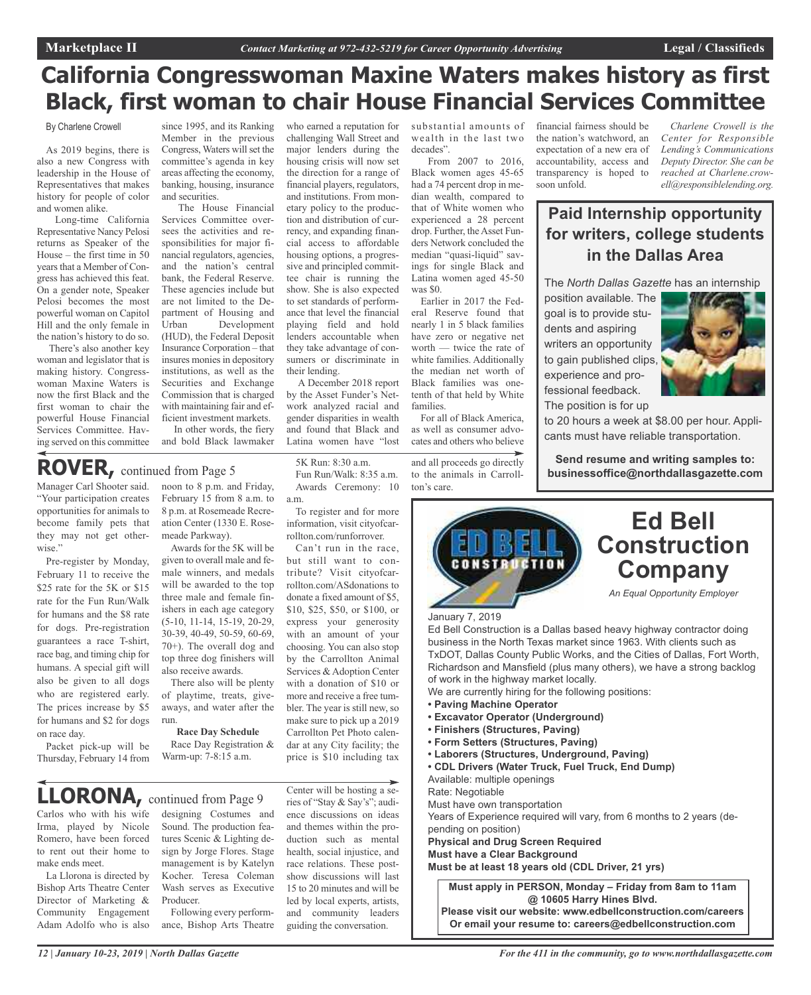## **California Congresswoman Maxine Waters makes history as first Black, first woman to chair House Financial Services Committee**

who earned a reputation for challenging Wall Street and major lenders during the housing crisis will now set the direction for a range of financial players, regulators, and institutions. From monetary policy to the production and distribution of currency, and expanding financial access to affordable housing options, a progressive and principled committee chair is running the show. She is also expected to set standards of performance that level the financial playing field and hold lenders accountable when they take advantage of consumers or discriminate in

their lending.

a.m.

A December 2018 report by the Asset Funder's Network analyzed racial and gender disparities in wealth and found that Black and Latina women have "lost

 $5K$  Run:  $8:30$  a.m. Fun Run/Walk: 8:35 a.m. Awards Ceremony: 10

To register and for more information, visit cityofcarrollton.com/runforrover. Can't run in the race, but still want to contribute? Visit cityofcarrollton.com/ASdonations to donate a fixed amount of \$5, \$10, \$25, \$50, or \$100, or express your generosity with an amount of your choosing. You can also stop by the Carrollton Animal Services & Adoption Center with a donation of \$10 or more and receive a free tumbler. The year is still new, so make sure to pick up a 2019 Carrollton Pet Photo calendar at any City facility; the price is \$10 including tax

By Charlene Crowell

As 2019 begins, there is also a new Congress with leadership in the House of Representatives that makes history for people of color and women alike.

Long-time California Representative Nancy Pelosi returns as Speaker of the House – the first time in 50 years that a Member of Congress has achieved this feat. On a gender note, Speaker Pelosi becomes the most powerful woman on Capitol Hill and the only female in the nation's history to do so.

There's also another key woman and legislator that is making history. Congresswoman Maxine Waters is now the first Black and the first woman to chair the powerful House Financial Services Committee. Having served on this committee

since 1995, and its Ranking Member in the previous Congress, Waters will set the committee's agenda in key areas affecting the economy, banking, housing, insurance and securities.

The House Financial Services Committee oversees the activities and responsibilities for major financial regulators, agencies, and the nation's central bank, the Federal Reserve. These agencies include but are not limited to the Department of Housing and<br>Urban Development Development (HUD), the Federal Deposit Insurance Corporation – that insures monies in depository institutions, as well as the Securities and Exchange Commission that is charged with maintaining fair and efficient investment markets.

In other words, the fiery and bold Black lawmaker

Manager Carl Shooter said. "Your participation creates opportunities for animals to become family pets that they may not get otherwise."

Pre-register by Monday, February 11 to receive the \$25 rate for the 5K or \$15 rate for the Fun Run/Walk for humans and the \$8 rate for dogs. Pre-registration guarantees a race T-shirt, race bag, and timing chip for humans. A special gift will also be given to all dogs who are registered early. The prices increase by \$5 for humans and \$2 for dogs on race day.

Packet pick-up will be Thursday, February 14 from noon to 8 p.m. and Friday, February 15 from 8 a.m. to 8 p.m. at Rosemeade Recreation Center (1330 E. Rosemeade Parkway). Awards for the 5K will be

given to overall male and female winners, and medals will be awarded to the top three male and female finishers in each age category (5-10, 11-14, 15-19, 20-29, 30-39, 40-49, 50-59, 60-69, 70+). The overall dog and top three dog finishers will also receive awards.

There also will be plenty of playtime, treats, giveaways, and water after the run.

**Race Day Schedule**

Race Day Registration & Warm-up: 7-8:15 a.m.

## **LLORONA,** continued from Page <sup>9</sup>

Carlos who with his wife Irma, played by Nicole Romero, have been forced to rent out their home to make ends meet.

La Llorona is directed by Bishop Arts Theatre Center Director of Marketing & Community Engagement Adam Adolfo who is also designing Costumes and Sound. The production features Scenic & Lighting design by Jorge Flores. Stage management is by Katelyn Kocher. Teresa Coleman Wash serves as Executive Producer. Following every perform-

ance, Bishop Arts Theatre

Center will be hosting a series of "Stay & Say's"; audience discussions on ideas and themes within the production such as mental health, social injustice, and race relations. These postshow discussions will last 15 to 20 minutes and will be led by local experts, artists, and community leaders guiding the conversation.

substantial amounts of wealth in the last two decades".

From 2007 to 2016, Black women ages 45-65 had a 74 percent drop in median wealth, compared to that of White women who experienced a 28 percent drop. Further, the Asset Funders Network concluded the median "quasi-liquid" savings for single Black and Latina women aged 45-50 was \$0.

Earlier in 2017 the Federal Reserve found that nearly 1 in 5 black families have zero or negative net worth — twice the rate of white families. Additionally the median net worth of Black families was onetenth of that held by White families.

For all of Black America, as well as consumer advocates and others who believe

and all proceeds go directly to the animals in Carrollton's care.

financial fairness should be the nation's watchword, an expectation of a new era of accountability, access and transparency is hoped to soon unfold.

*Charlene Crowell is the Center for Responsible Lending's Communications Deputy Director. She can be reached at Charlene.crowell@responsiblelending.org.*

### **Paid Internship opportunity for writers, college students in the Dallas Area**

The *North Dallas Gazette* has an internship

position available. The goal is to provide students and aspiring writers an opportunity to gain published clips, experience and professional feedback. The position is for up

to 20 hours a week at \$8.00 per hour. Applicants must have reliable transportation.

**Send resume and writing samples to: ROVER**, continued from Page 5<br>Fun Run/Walk: 8:35 a.m. to the animals in Carroll- **businessoffice@northdallasgazette.com** 



#### January 7, 2019

Ed Bell Construction is a Dallas based heavy highway contractor doing business in the North Texas market since 1963. With clients such as TxDOT, Dallas County Public Works, and the Cities of Dallas, Fort Worth, Richardson and Mansfield (plus many others), we have a strong backlog of work in the highway market locally.

We are currently hiring for the following positions:

- **• Paving Machine Operator**
- **• Excavator Operator (Underground)**
- **• Finishers (Structures, Paving)**
- **• Form Setters (Structures, Paving)**
- **• Laborers (Structures, Underground, Paving)**
- **• CDL Drivers (Water Truck, Fuel Truck, End Dump)**
- Available: multiple openings

Rate: Negotiable

Must have own transportation

Years of Experience required will vary, from 6 months to 2 years (depending on position)

**Physical and Drug Screen Required Must have a Clear Background**

**Must be at least 18 years old (CDL Driver, 21 yrs)**

**Must apply in PERSON, Monday – Friday from 8am to 11am @ 10605 Harry Hines Blvd. Please visit our website: www.edbellconstruction.com/careers Or email your resume to: careers@edbellconstruction.com**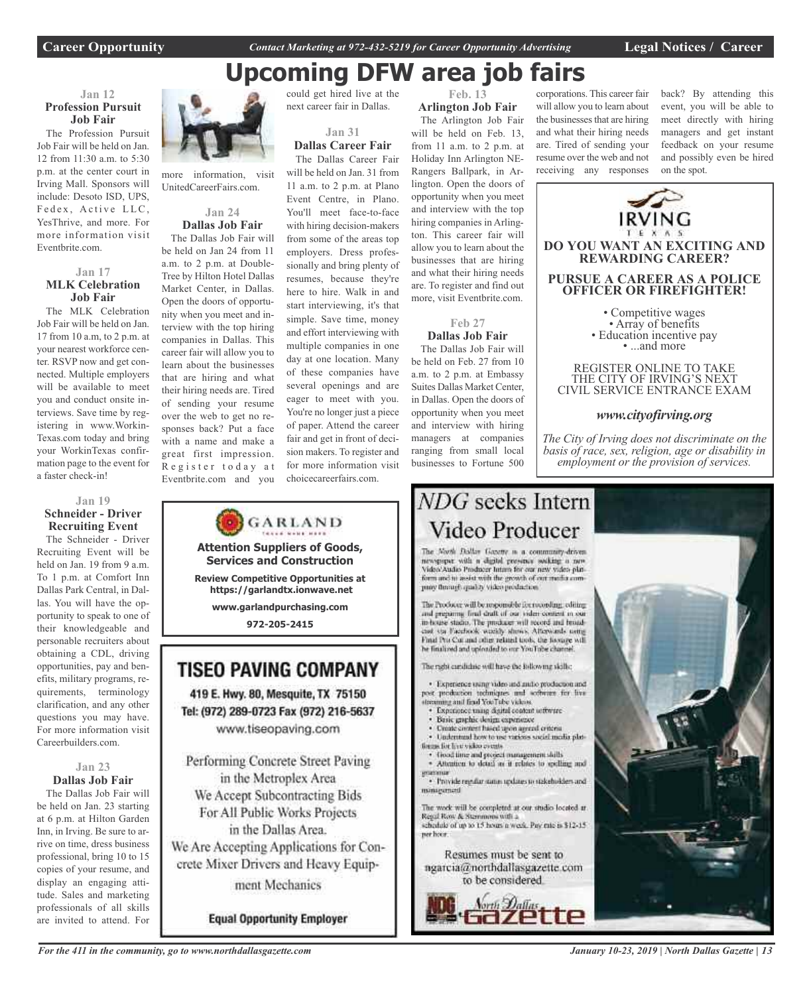**Career Opportunity** *Contact Marketing at 972-432-5219 for Career Opportunity Advertising* **Legal Notices / Career**

## **Upcoming DFW area job fairs**

#### **Jan 12 Profession Pursuit Job Fair**

The Profession Pursuit Job Fair will be held on Jan. 12 from 11:30 a.m. to 5:30 p.m. at the center court in Irving Mall. Sponsors will include: Desoto ISD, UPS, Fedex, Active LLC, YesThrive, and more. For more information visit Eventbrite.com.

#### **Jan 17 MLK Celebration Job Fair**

The MLK Celebration Job Fair will be held on Jan. 17 from 10 a.m, to 2 p.m. at your nearest workforce center. RSVP now and get connected. Multiple employers will be available to meet you and conduct onsite interviews. Save time by registering in www.Workin-Texas.com today and bring your WorkinTexas confirmation page to the event for a faster check-in!

#### **Jan 19 Schneider - Driver Recruiting Event**

The Schneider - Driver Recruiting Event will be held on Jan. 19 from 9 a.m. To 1 p.m. at Comfort Inn Dallas Park Central, in Dallas. You will have the opportunity to speak to one of their knowledgeable and personable recruiters about obtaining a CDL, driving opportunities, pay and benefits, military programs, requirements, terminology clarification, and any other questions you may have. For more information visit Careerbuilders.com.

#### **Jan 23 Dallas Job Fair**

The Dallas Job Fair will be held on Jan. 23 starting at 6 p.m. at Hilton Garden Inn, in Irving. Be sure to arrive on time, dress business professional, bring 10 to 15 copies of your resume, and display an engaging attitude. Sales and marketing professionals of all skills are invited to attend. For



more information, visit UnitedCareerFairs.com.

#### **Jan 24 Dallas Job Fair**

The Dallas Job Fair will be held on Jan 24 from 11 a.m. to 2 p.m. at Double-Tree by Hilton Hotel Dallas Market Center, in Dallas. Open the doors of opportunity when you meet and interview with the top hiring companies in Dallas. This career fair will allow you to learn about the businesses that are hiring and what their hiring needs are. Tired of sending your resume over the web to get no responses back? Put a face with a name and make a great first impression. Register today at Eventbrite.com and you



**Equal Opportunity Employer** 

could get hired live at the next career fair in Dallas.

**Jan 31**

**Dallas Career Fair** The Dallas Career Fair will be held on Jan. 31 from 11 a.m. to 2 p.m. at Plano Event Centre, in Plano. You'll meet face-to-face with hiring decision-makers from some of the areas top employers. Dress professionally and bring plenty of resumes, because they're here to hire. Walk in and start interviewing, it's that simple. Save time, money and effort interviewing with multiple companies in one day at one location. Many of these companies have several openings and are eager to meet with you. You're no longer just a piece of paper. Attend the career fair and get in front of decision makers. To register and for more information visit choicecareerfairs.com.

**Feb. 13 Arlington Job Fair** The Arlington Job Fair will be held on Feb. 13,

from 11 a.m. to 2 p.m. at Holiday Inn Arlington NE-Rangers Ballpark, in Arlington. Open the doors of opportunity when you meet and interview with the top hiring companies in Arlington. This career fair will allow you to learn about the businesses that are hiring and what their hiring needs are. To register and find out more, visit Eventbrite.com.

### **Feb 27**

**Dallas Job Fair** The Dallas Job Fair will be held on Feb. 27 from 10 a.m. to 2 p.m. at Embassy Suites Dallas Market Center, in Dallas. Open the doors of opportunity when you meet and interview with hiring managers at companies ranging from small local

businesses to Fortune 500

corporations. This career fair will allow you to learn about the businesses that are hiring and what their hiring needs are. Tired of sending your resume over the web and not receiving any responses back? By attending this event, you will be able to meet directly with hiring managers and get instant feedback on your resume and possibly even be hired on the spot.



CIVIL SERVICE ENTRANCE EXAM

#### *www.cityofirving.org*

*The City of Irving does not discriminate on the basis of race, sex, religion, age or disability in employment or the provision of services.*

## NDG seeks Intern Video Producer

The North Dallas Gazette is a community-driven newspaper with a digital presence socking a new Video'Audio Producer Intara for our new video platform and in assist with the growth of out media company through quality video production.

The Producer will be responsible for recording, editing and preparing final draft of our video content in our in-house stadio. The producer will record and feoralciat via Facebook weekly shows. Afterwards notte Final Pro Cor and other related tools, the fissure will he finalized and uploaded to our YouTube channel

The radii cardidate will have the following skills;

· Experience wang video and millio production and post production techniques and software for live mag and find YouTube videos.

- Experience using disital content settwire
- Basic graphic design experience
- Create circurs hased upon agreed criteria Understand how to use various social media plat-
- forces for live video events
- · froad time and project management shills \* Attention to detail as it relates to spelling and

· Provide regular status updates to stakeholders and minagement

The work will be completed at our studio located at Repal Row & Stemmons with a schedule of up to 15 hours a week. Pay rate is \$12-15 ner hoor.

Resumes must be sent to





*January 10-23, 2019 | North Dallas Gazette | 13*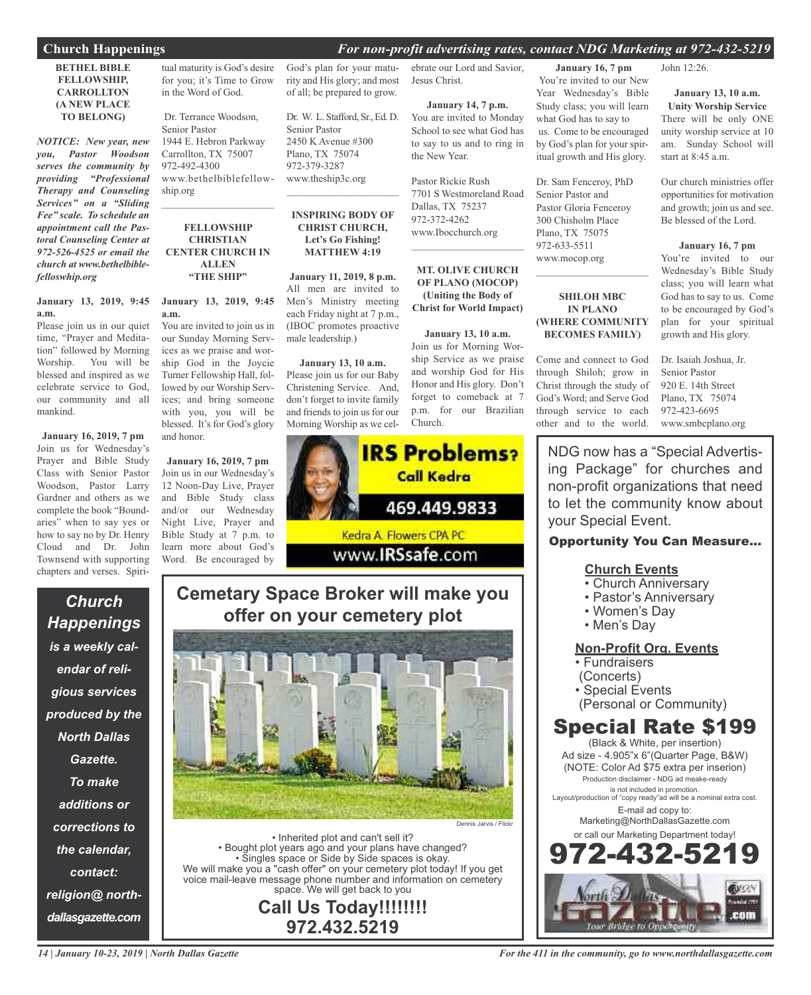#### **Church Happenings** *For non-profit advertising rates, contact NDG Marketing at 972-432-5219*

#### **BETHEL BIBLE FELLOWSHIP, CARROLLTON (A NEW PLACE TO BELONG)**

*NOTICE: New year, new you, Pastor Woodson serves the community by providing "Professional Therapy and Counseling Services" on a "Sliding Fee" scale. To schedule an appointment call the Pastoral Counseling Center at 972-526-4525 or email the church at www.bethelbiblefelloswhip.org*

#### **January 13, 2019, 9:45 a.m.**

Please join us in our quiet time, "Prayer and Meditation" followed by Morning Worship. You will be blessed and inspired as we celebrate service to God, our community and all mankind.

**January 16, 2019, 7 pm** Join us for Wednesday's Prayer and Bible Study Class with Senior Pastor Woodson, Pastor Larry Gardner and others as we complete the book "Boundaries" when to say yes or how to say no by Dr. Henry Cloud and Dr. John Townsend with supporting chapters and verses. Spiri-

*Church Happenings is a weekly calendar of religious services produced by the North Dallas Gazette. To make additions or corrections to the calendar, contact: religion@ northdallasgazette.com*

tual maturity is God's desire for you; it's Time to Grow in the Word of God.

Dr. Terrance Woodson, Senior Pastor 1944 E. Hebron Parkway Carrollton, TX 75007 972-492-4300 www.bethelbiblefellowship.org

#### **FELLOWSHIP CHRISTIAN CENTER CHURCH IN ALLEN "THE SHIP"**

 $\overline{\phantom{a}}$  , and the set of the set of the set of the set of the set of the set of the set of the set of the set of the set of the set of the set of the set of the set of the set of the set of the set of the set of the s

### **January 13, 2019, 9:45 a.m.**

You are invited to join us in our Sunday Morning Services as we praise and worship God in the Joycie Turner Fellowship Hall, followed by our Worship Services; and bring someone with you, you will be blessed. It's for God's glory and honor.

**January 16, 2019, 7 pm** Join us in our Wednesday's 12 Noon-Day Live, Prayer and Bible Study class and/or our Wednesday Night Live, Prayer and Bible Study at 7 p.m. to learn more about God's Word. Be encouraged by

God's plan for your maturity and His glory; and most of all; be prepared to grow.

Dr. W. L. Stafford, Sr., Ed. D. Senior Pastor 2450 K Avenue #300 Plano, TX 75074 972-379-3287 www.theship3c.org

#### **INSPIRING BODY OF CHRIST CHURCH, Let's Go Fishing! MATTHEW 4:19**

 $\overline{\phantom{a}}$  , and the set of the set of the set of the set of the set of the set of the set of the set of the set of the set of the set of the set of the set of the set of the set of the set of the set of the set of the s

**January 11, 2019, 8 p.m.** All men are invited to Men's Ministry meeting each Friday night at 7 p.m., (IBOC promotes proactive male leadership.)

#### **January 13, 10 a.m.**

Please join us for our Baby Christening Service. And, don't forget to invite family and friends to join us for our Morning Worship as we cel-



## **Cemetary Space Broker will make you offer on your cemetery plot**



• Inherited plot and can't sell it? • Bought plot years ago and your plans have changed? • Singles space or Side by Side spaces is okay. We will make you a "cash offer" on your cemetery plot today! If you get voice mail-leave message phone number and information on cemetery space. We will get back to you

**Call Us Today!!!!!!!! 972.432.5219**

ebrate our Lord and Savior, Jesus Christ.

**January 14, 7 p.m.** You are invited to Monday School to see what God has to say to us and to ring in the New Year.

Pastor Rickie Rush 7701 S Westmoreland Road Dallas, TX 75237 972-372-4262 www.Ibocchurch.org  $\mathcal{L}$  , and the set of the set of the set of the set of the set of the set of the set of the set of the set of the set of the set of the set of the set of the set of the set of the set of the set of the set of the set

#### **MT. OLIVE CHURCH OF PLANO (MOCOP) (Uniting the Body of Christ for World Impact)**

**January 13, 10 a.m.** Join us for Morning Worship Service as we praise and worship God for His Honor and His glory. Don't forget to comeback at 7 p.m. for our Brazilian Church.

**January 16, 7 pm** You're invited to our New Year Wednesday's Bible Study class; you will learn what God has to say to us. Come to be encouraged by God's plan for your spiritual growth and His glory.

Dr. Sam Fenceroy, PhD Senior Pastor and Pastor Gloria Fenceroy 300 Chisholm Place Plano, TX 75075 972-633-5511 www.mocop.org

#### **SHILOH MBC IN PLANO (WHERE COMMUNITY BECOMES FAMILY)**

 $\mathcal{L}_\text{max}$  , which is a set of the set of the set of the set of the set of the set of the set of the set of the set of the set of the set of the set of the set of the set of the set of the set of the set of the set of

Come and connect to God through Shiloh; grow in Christ through the study of God's Word; and Serve God through service to each other and to the world. John 12:26.

#### **January 13, 10 a.m. Unity Worship Service**

There will be only ONE unity worship service at 10 am. Sunday School will start at 8:45 a.m.

Our church ministries offer opportunities for motivation and growth; join us and see. Be blessed of the Lord.

#### **January 16, 7 pm**

You're invited to our Wednesday's Bible Study class; you will learn what God has to say to us. Come to be encouraged by God's plan for your spiritual growth and His glory.

Dr. Isaiah Joshua, Jr. Senior Pastor 920 E. 14th Street Plano, TX 75074 972-423-6695 www.smbcplano.org

NDG now has a "Special Advertising Package" for churches and non-profit organizations that need to let the community know about your Special Event.

### Opportunity You Can Measure...

### **Church Events**

- Church Anniversary
- Pastor's Anniversary
- Women's Day
- Men's Day

### **Non-Profit Org. Events**

- Fundraisers
- (Concerts)
- Special Events
- (Personal or Community)

## Special Rate \$199

(Black & White, per insertion) Ad size - 4.905"x 6"(Quarter Page, B&W) (NOTE: Color Ad \$75 extra per inserion) Production disclaimer - NDG ad meake-ready is not included in promotion. Layout/production of "copy ready"ad will be a nominal extra cost. E-mail ad copy to: Marketing@NorthDallasGazette.com or call our Marketing Department today!

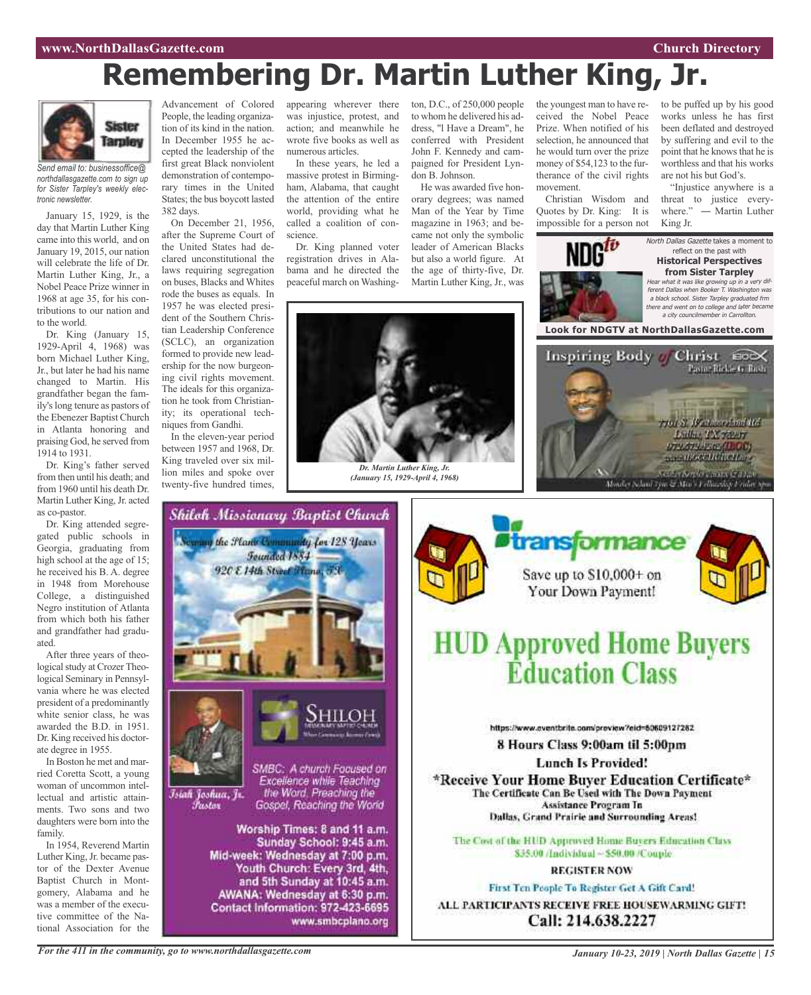## **Remembering Dr. Martin Luther King, Jr.**



*Send email to: businessoffice@ northdallasgazette.com to sign up for Sister Tarpley's weekly electronic newsletter.*

January 15, 1929, is the day that Martin Luther King came into this world, and on January 19, 2015, our nation will celebrate the life of Dr. Martin Luther King, Jr., a Nobel Peace Prize winner in 1968 at age 35, for his contributions to our nation and to the world.

Dr. King (January 15, 1929-April 4, 1968) was born Michael Luther King, Jr., but later he had his name changed to Martin. His grandfather began the family'slong tenure as pastors of the Ebenezer Baptist Church in Atlanta honoring and praising God, he served from 1914 to 1931.

Dr. King's father served from then until his death; and from 1960 until his death Dr. Martin Luther King, Jr. acted as co-pastor.

Dr. King attended segregated public schools in Georgia, graduating from high school at the age of 15; he received his B. A. degree in 1948 from Morehouse College, a distinguished Negro institution of Atlanta from which both his father and grandfather had graduated.

After three years of theological study at Crozer Theological Seminary in Pennsylvania where he was elected president of a predominantly white senior class, he was awarded the B.D. in 1951. Dr. King received his doctorate degree in 1955.

In Boston he met and married Coretta Scott, a young woman of uncommon intellectual and artistic attainments. Two sons and two daughters were born into the family.

In 1954, Reverend Martin Luther King, Jr. became pastor of the Dexter Avenue Baptist Church in Montgomery, Alabama and he was a member of the executive committee of the National Association for the

Advancement of Colored People, the leading organization of its kind in the nation. In December 1955 he accepted the leadership of the first great Black nonviolent demonstration of contemporary times in the United States; the bus boycott lasted

382 days. On December 21, 1956, after the Supreme Court of the United States had declared unconstitutional the laws requiring segregation on buses, Blacks and Whites rode the buses as equals. In 1957 he was elected president of the Southern Christian Leadership Conference (SCLC), an organization formed to provide new leadership for the now burgeoning civil rights movement. The ideals for this organization he took from Christianity; its operational techniques from Gandhi.

In the eleven-year period between 1957 and 1968, Dr. King traveled over six million miles and spoke over twenty-five hundred times,

appearing wherever there was injustice, protest, and action; and meanwhile he wrote five books as well as numerous articles.

In these years, he led a massive protest in Birmingham, Alabama, that caught the attention of the entire world, providing what he called a coalition of conscience.

Dr. King planned voter registration drives in Alabama and he directed the peaceful march on Washington, D.C., of 250,000 people to whom he delivered his address, "l Have a Dream", he conferred with President John F. Kennedy and campaigned for President Lyndon B. Johnson.

He was awarded five honorary degrees; was named Man of the Year by Time magazine in 1963; and became not only the symbolic leader of American Blacks but also a world figure. At the age of thirty-five, Dr. Martin Luther King, Jr., was



*(January 15, 1929-April 4, 1968)*





Save up to \$10,000+ on Your Down Payment!

the youngest man to have received the Nobel Peace Prize. When notified of his selection, he announced that he would turn over the prize money of \$54,123 to the furtherance of the civil rights

Christian Wisdom and Quotes by Dr. King: It is impossible for a person not

movement.

## **HUD Approved Home Buyers Éducation Class**

https://www.aventbrite.com/preview?eid=80609127282

8 Hours Class 9:00am til 5:00pm

**Lunch Is Provided!** \*Receive Your Home Buver Education Certificate\* The Certificate Can Be Used with The Down Payment Assistance Program In

Dallas, Grand Prairie and Surrounding Areas!

The Cost of the HUD Approved Home Buyers Education Class \$35.00 /Individual ~ \$50.00 /Couple.

#### **REGISTER NOW**

First Ten People To Register Get A Gift Card! ALL PARTICIPANTS RECEIVE FREE HOUSEWARMING GIFT! Call: 214.638.2227

*For the 411 in the community, go to www.northdallasgazette.com*

*January 10-23, 2019 | North Dallas Gazette | 15*

to be puffed up by his good works unless he has first been deflated and destroyed by suffering and evil to the point that he knows that he is worthless and that his works are not his but God's.

"Injustice anywhere is a threat to justice everywhere." — Martin Luther King Jr.

Pasto - Rickie G. Bush.

North Dallas Gazette takes a moment to reflect on the past with **Historical Perspectives from Sister Tarpley** what it was like growing up in a very different Dallas when Booker T. Washington was <sup>a</sup> black school. Sister Tarpley graduated frm there and went on to college and later became <sup>a</sup> city councilmember in Carrollton.

**Look for NDGTV at NorthDallasGazette.com**

Inspiring Body of Christ no≫